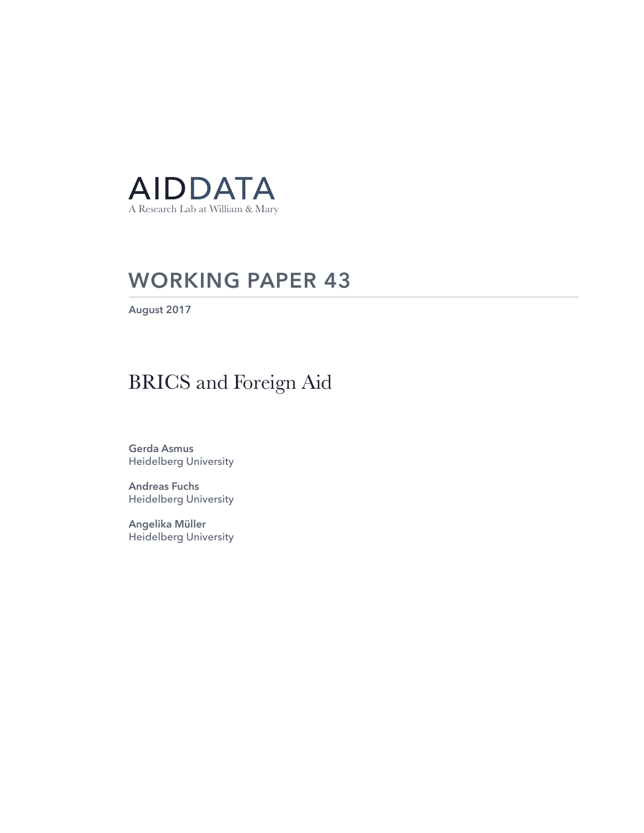

## **WORKING PAPER 43**

**August 2017**

# BRICS and Foreign Aid

**Gerda Asmus** Heidelberg University

**Andreas Fuchs** Heidelberg University

**Angelika Müller** Heidelberg University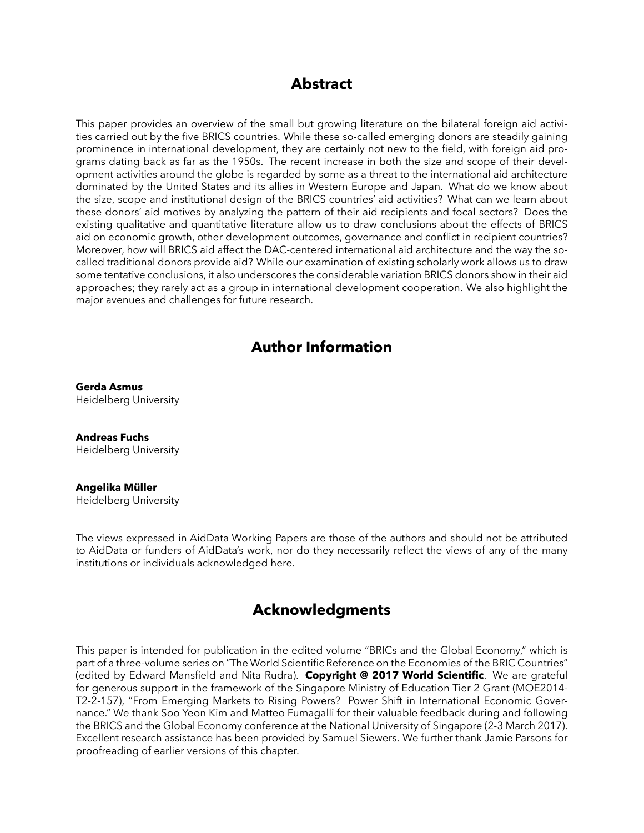### **Abstract**

This paper provides an overview of the small but growing literature on the bilateral foreign aid activities carried out by the five BRICS countries. While these so-called emerging donors are steadily gaining prominence in international development, they are certainly not new to the field, with foreign aid programs dating back as far as the 1950s. The recent increase in both the size and scope of their development activities around the globe is regarded by some as a threat to the international aid architecture dominated by the United States and its allies in Western Europe and Japan. What do we know about the size, scope and institutional design of the BRICS countries' aid activities? What can we learn about these donors' aid motives by analyzing the pattern of their aid recipients and focal sectors? Does the existing qualitative and quantitative literature allow us to draw conclusions about the effects of BRICS aid on economic growth, other development outcomes, governance and conflict in recipient countries? Moreover, how will BRICS aid affect the DAC-centered international aid architecture and the way the socalled traditional donors provide aid? While our examination of existing scholarly work allows us to draw some tentative conclusions, it also underscores the considerable variation BRICS donors show in their aid approaches; they rarely act as a group in international development cooperation. We also highlight the major avenues and challenges for future research.

## **Author Information**

**Gerda Asmus** Heidelberg University

**Andreas Fuchs** Heidelberg University

## **Angelika Müller**

Heidelberg University

The views expressed in AidData Working Papers are those of the authors and should not be attributed to AidData or funders of AidData's work, nor do they necessarily reflect the views of any of the many institutions or individuals acknowledged here.

## **Acknowledgments**

This paper is intended for publication in the edited volume "BRICs and the Global Economy," which is part of a three-volume series on "The World Scientific Reference on the Economies of the BRIC Countries" (edited by Edward Mansfield and Nita Rudra). **Copyright @ 2017 World Scientific**. We are grateful for generous support in the framework of the Singapore Ministry of Education Tier 2 Grant (MOE2014- T2-2-157), "From Emerging Markets to Rising Powers? Power Shift in International Economic Governance." We thank Soo Yeon Kim and Matteo Fumagalli for their valuable feedback during and following the BRICS and the Global Economy conference at the National University of Singapore (2-3 March 2017). Excellent research assistance has been provided by Samuel Siewers. We further thank Jamie Parsons for proofreading of earlier versions of this chapter.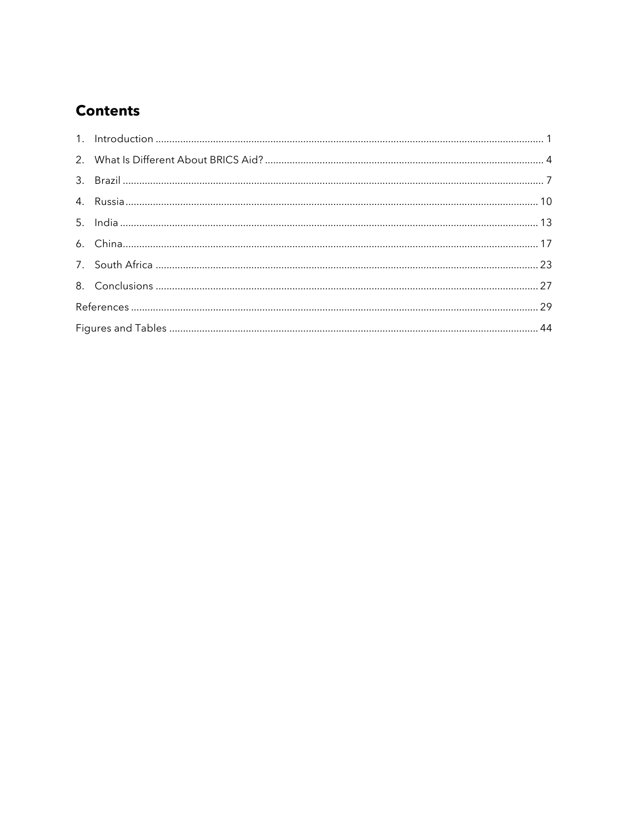## **Contents**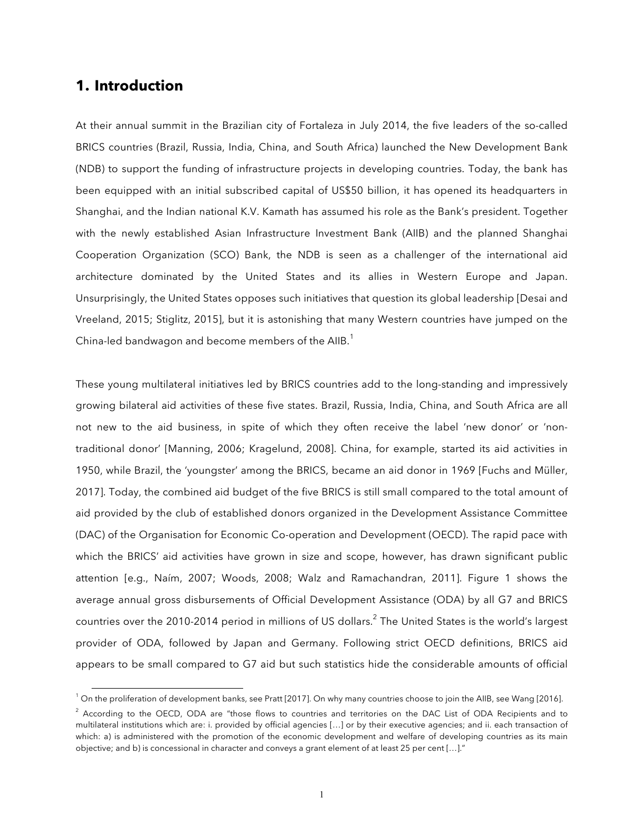#### **1. Introduction**

At their annual summit in the Brazilian city of Fortaleza in July 2014, the five leaders of the so-called BRICS countries (Brazil, Russia, India, China, and South Africa) launched the New Development Bank (NDB) to support the funding of infrastructure projects in developing countries. Today, the bank has been equipped with an initial subscribed capital of US\$50 billion, it has opened its headquarters in Shanghai, and the Indian national K.V. Kamath has assumed his role as the Bank's president. Together with the newly established Asian Infrastructure Investment Bank (AIIB) and the planned Shanghai Cooperation Organization (SCO) Bank, the NDB is seen as a challenger of the international aid architecture dominated by the United States and its allies in Western Europe and Japan. Unsurprisingly, the United States opposes such initiatives that question its global leadership [Desai and Vreeland, 2015; Stiglitz, 2015], but it is astonishing that many Western countries have jumped on the China-led bandwagon and become members of the AIIB.<sup>1</sup>

These young multilateral initiatives led by BRICS countries add to the long-standing and impressively growing bilateral aid activities of these five states. Brazil, Russia, India, China, and South Africa are all not new to the aid business, in spite of which they often receive the label 'new donor' or 'nontraditional donor' [Manning, 2006; Kragelund, 2008]. China, for example, started its aid activities in 1950, while Brazil, the 'youngster' among the BRICS, became an aid donor in 1969 [Fuchs and Müller, 2017]. Today, the combined aid budget of the five BRICS is still small compared to the total amount of aid provided by the club of established donors organized in the Development Assistance Committee (DAC) of the Organisation for Economic Co-operation and Development (OECD). The rapid pace with which the BRICS' aid activities have grown in size and scope, however, has drawn significant public attention [e.g., Naím, 2007; Woods, 2008; Walz and Ramachandran, 2011]. Figure 1 shows the average annual gross disbursements of Official Development Assistance (ODA) by all G7 and BRICS countries over the 2010-2014 period in millions of US dollars.<sup>2</sup> The United States is the world's largest provider of ODA, followed by Japan and Germany. Following strict OECD definitions, BRICS aid appears to be small compared to G7 aid but such statistics hide the considerable amounts of official

<sup>&</sup>lt;sup>1</sup> On the proliferation of development banks, see Pratt [2017]. On why many countries choose to join the AIIB, see Wang [2016].

<sup>&</sup>lt;sup>2</sup> According to the OECD, ODA are "those flows to countries and territories on the DAC List of ODA Recipients and to multilateral institutions which are: i. provided by official agencies […] or by their executive agencies; and ii. each transaction of which: a) is administered with the promotion of the economic development and welfare of developing countries as its main objective; and b) is concessional in character and conveys a grant element of at least 25 per cent […]."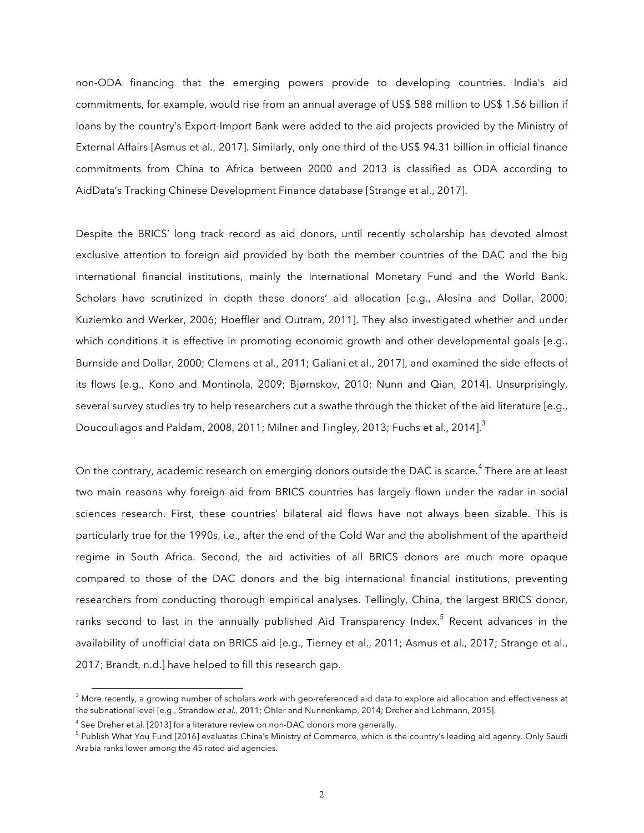non-ODA financing that the emerging powers provide to developing countries. India's aid commitments, for example, would rise from an annual average of US\$ 588 million to US\$ 1.56 billion if loans by the country's Export-Import Bank were added to the aid projects provided by the Ministry of External Affairs [Asmus et al., 2017]. Similarly, only one third of the US\$ 94.31 billion in official finance commitments from China to Africa between 2000 and 2013 is classified as ODA according to AidData's Tracking Chinese Development Finance database [Strange et al., 2017].

Despite the BRICS' long track record as aid donors, until recently scholarship has devoted almost exclusive attention to foreign aid provided by both the member countries of the DAC and the big international financial institutions, mainly the International Monetary Fund and the World Bank. Scholars have scrutinized in depth these donors' aid allocation [e.g., Alesina and Dollar, 2000; Kuziemko and Werker, 2006; Hoeffler and Outram, 2011]. They also investigated whether and under which conditions it is effective in promoting economic growth and other developmental goals [e.g., Burnside and Dollar, 2000; Clemens et al., 2011; Galiani et al., 2017], and examined the side-effects of its flows [e.g., Kono and Montinola, 2009; Bjørnskov, 2010; Nunn and Qian, 2014]. Unsurprisingly, several survey studies try to help researchers cut a swathe through the thicket of the aid literature [e.g., Doucouliagos and Paldam, 2008, 2011; Milner and Tingley, 2013; Fuchs et al., 2014].<sup>3</sup>

On the contrary, academic research on emerging donors outside the DAC is scarce.<sup>4</sup> There are at least two main reasons why foreign aid from BRICS countries has largely flown under the radar in social sciences research. First, these countries' bilateral aid flows have not always been sizable. This is particularly true for the 1990s, i.e., after the end of the Cold War and the abolishment of the apartheid regime in South Africa. Second, the aid activities of all BRICS donors are much more opaque compared to those of the DAC donors and the big international financial institutions, preventing researchers from conducting thorough empirical analyses. Tellingly, China, the largest BRICS donor, ranks second to last in the annually published Aid Transparency Index.<sup>5</sup> Recent advances in the availability of unofficial data on BRICS aid [e.g., Tierney et al., 2011; Asmus et al., 2017; Strange et al., 2017; Brandt, n.d.] have helped to fill this research gap.

 $3$  More recently, a growing number of scholars work with geo-referenced aid data to explore aid allocation and effectiveness at the subnational level [e.g., Strandow et al., 2011; Öhler and Nunnenkamp, 2014; Dreher and Lohmann, 2015].

<sup>&</sup>lt;sup>4</sup> See Dreher et al. [2013] for a literature review on non-DAC donors more generally.

<sup>&</sup>lt;sup>5</sup> Publish What You Fund [2016] evaluates China's Ministry of Commerce, which is the country's leading aid agency. Only Saudi Arabia ranks lower among the 45 rated aid agencies.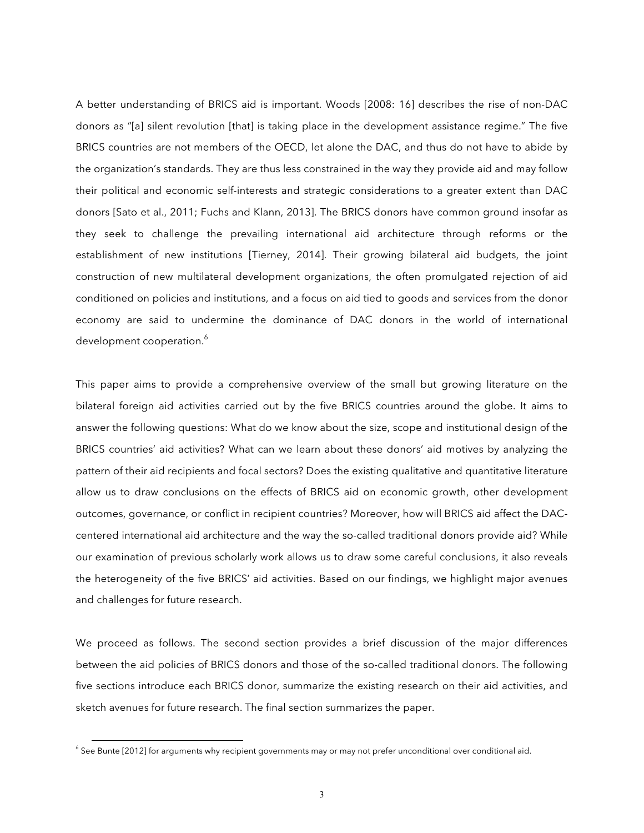A better understanding of BRICS aid is important. Woods [2008: 16] describes the rise of non-DAC donors as "[a] silent revolution [that] is taking place in the development assistance regime." The five BRICS countries are not members of the OECD, let alone the DAC, and thus do not have to abide by the organization's standards. They are thus less constrained in the way they provide aid and may follow their political and economic self-interests and strategic considerations to a greater extent than DAC donors [Sato et al., 2011; Fuchs and Klann, 2013]. The BRICS donors have common ground insofar as they seek to challenge the prevailing international aid architecture through reforms or the establishment of new institutions [Tierney, 2014]. Their growing bilateral aid budgets, the joint construction of new multilateral development organizations, the often promulgated rejection of aid conditioned on policies and institutions, and a focus on aid tied to goods and services from the donor economy are said to undermine the dominance of DAC donors in the world of international development cooperation.<sup>6</sup>

This paper aims to provide a comprehensive overview of the small but growing literature on the bilateral foreign aid activities carried out by the five BRICS countries around the globe. It aims to answer the following questions: What do we know about the size, scope and institutional design of the BRICS countries' aid activities? What can we learn about these donors' aid motives by analyzing the pattern of their aid recipients and focal sectors? Does the existing qualitative and quantitative literature allow us to draw conclusions on the effects of BRICS aid on economic growth, other development outcomes, governance, or conflict in recipient countries? Moreover, how will BRICS aid affect the DACcentered international aid architecture and the way the so-called traditional donors provide aid? While our examination of previous scholarly work allows us to draw some careful conclusions, it also reveals the heterogeneity of the five BRICS' aid activities. Based on our findings, we highlight major avenues and challenges for future research.

We proceed as follows. The second section provides a brief discussion of the major differences between the aid policies of BRICS donors and those of the so-called traditional donors. The following five sections introduce each BRICS donor, summarize the existing research on their aid activities, and sketch avenues for future research. The final section summarizes the paper.

 $6$  See Bunte [2012] for arguments why recipient governments may or may not prefer unconditional over conditional aid.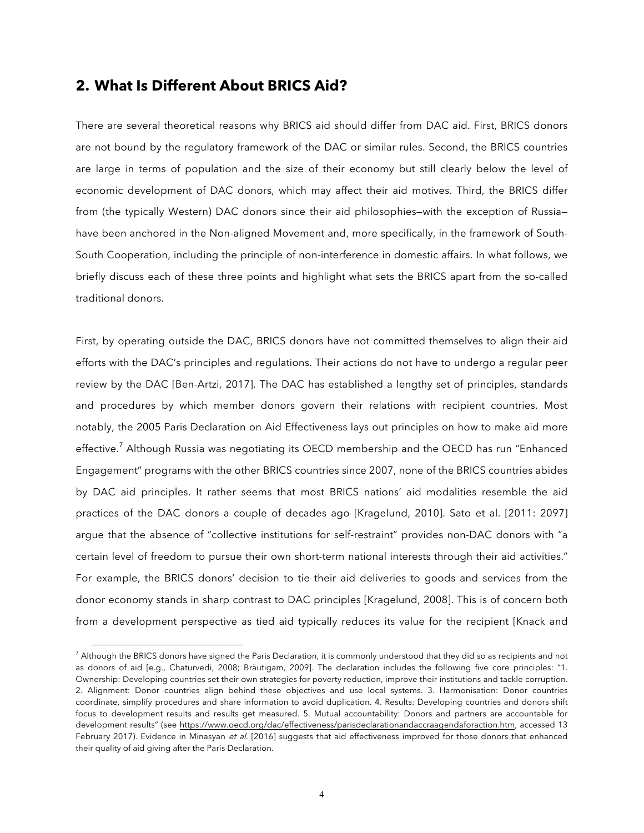#### **2. What Is Different About BRICS Aid?**

l

There are several theoretical reasons why BRICS aid should differ from DAC aid. First, BRICS donors are not bound by the regulatory framework of the DAC or similar rules. Second, the BRICS countries are large in terms of population and the size of their economy but still clearly below the level of economic development of DAC donors, which may affect their aid motives. Third, the BRICS differ from (the typically Western) DAC donors since their aid philosophies—with the exception of Russia have been anchored in the Non-aligned Movement and, more specifically, in the framework of South-South Cooperation, including the principle of non-interference in domestic affairs. In what follows, we briefly discuss each of these three points and highlight what sets the BRICS apart from the so-called traditional donors.

First, by operating outside the DAC, BRICS donors have not committed themselves to align their aid efforts with the DAC's principles and regulations. Their actions do not have to undergo a regular peer review by the DAC [Ben-Artzi, 2017]. The DAC has established a lengthy set of principles, standards and procedures by which member donors govern their relations with recipient countries. Most notably, the 2005 Paris Declaration on Aid Effectiveness lays out principles on how to make aid more effective.<sup>7</sup> Although Russia was negotiating its OECD membership and the OECD has run "Enhanced Engagement" programs with the other BRICS countries since 2007, none of the BRICS countries abides by DAC aid principles. It rather seems that most BRICS nations' aid modalities resemble the aid practices of the DAC donors a couple of decades ago [Kragelund, 2010]. Sato et al. [2011: 2097] argue that the absence of "collective institutions for self-restraint" provides non-DAC donors with "a certain level of freedom to pursue their own short-term national interests through their aid activities." For example, the BRICS donors' decision to tie their aid deliveries to goods and services from the donor economy stands in sharp contrast to DAC principles [Kragelund, 2008]. This is of concern both from a development perspective as tied aid typically reduces its value for the recipient [Knack and

 $^7$  Although the BRICS donors have signed the Paris Declaration, it is commonly understood that they did so as recipients and not as donors of aid [e.g., Chaturvedi, 2008; Bräutigam, 2009]. The declaration includes the following five core principles: "1. Ownership: Developing countries set their own strategies for poverty reduction, improve their institutions and tackle corruption. 2. Alignment: Donor countries align behind these objectives and use local systems. 3. Harmonisation: Donor countries coordinate, simplify procedures and share information to avoid duplication. 4. Results: Developing countries and donors shift focus to development results and results get measured. 5. Mutual accountability: Donors and partners are accountable for development results" (see https://www.oecd.org/dac/effectiveness/parisdeclarationandaccraagendaforaction.htm, accessed 13 February 2017). Evidence in Minasyan et al. [2016] suggests that aid effectiveness improved for those donors that enhanced their quality of aid giving after the Paris Declaration.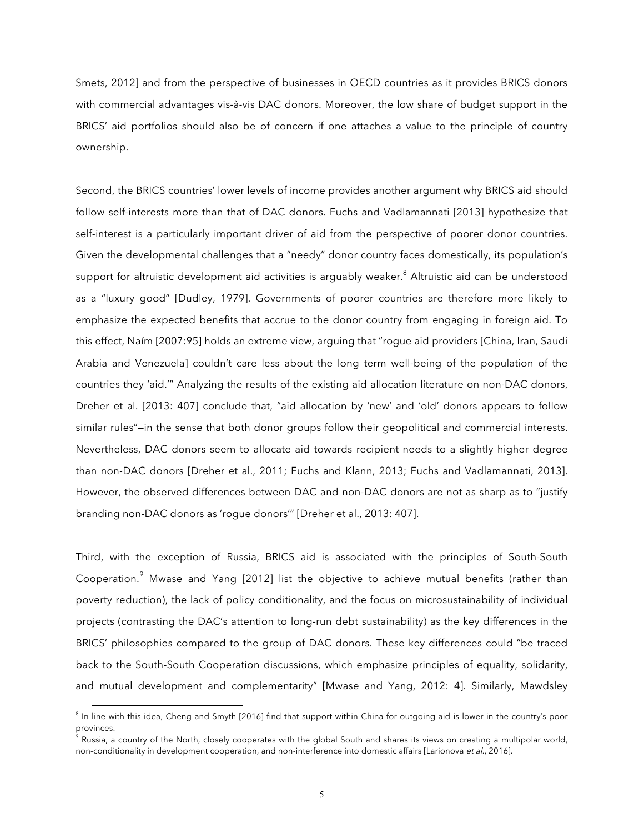Smets, 2012] and from the perspective of businesses in OECD countries as it provides BRICS donors with commercial advantages vis-à-vis DAC donors. Moreover, the low share of budget support in the BRICS' aid portfolios should also be of concern if one attaches a value to the principle of country ownership.

Second, the BRICS countries' lower levels of income provides another argument why BRICS aid should follow self-interests more than that of DAC donors. Fuchs and Vadlamannati [2013] hypothesize that self-interest is a particularly important driver of aid from the perspective of poorer donor countries. Given the developmental challenges that a "needy" donor country faces domestically, its population's support for altruistic development aid activities is arguably weaker.<sup>8</sup> Altruistic aid can be understood as a "luxury good" [Dudley, 1979]. Governments of poorer countries are therefore more likely to emphasize the expected benefits that accrue to the donor country from engaging in foreign aid. To this effect, Naím [2007:95] holds an extreme view, arguing that "rogue aid providers [China, Iran, Saudi Arabia and Venezuela] couldn't care less about the long term well-being of the population of the countries they 'aid.'" Analyzing the results of the existing aid allocation literature on non-DAC donors, Dreher et al. [2013: 407] conclude that, "aid allocation by 'new' and 'old' donors appears to follow similar rules"—in the sense that both donor groups follow their geopolitical and commercial interests. Nevertheless, DAC donors seem to allocate aid towards recipient needs to a slightly higher degree than non-DAC donors [Dreher et al., 2011; Fuchs and Klann, 2013; Fuchs and Vadlamannati, 2013]. However, the observed differences between DAC and non-DAC donors are not as sharp as to "justify branding non-DAC donors as 'rogue donors'" [Dreher et al., 2013: 407].

Third, with the exception of Russia, BRICS aid is associated with the principles of South-South Cooperation.<sup>9</sup> Mwase and Yang [2012] list the objective to achieve mutual benefits (rather than poverty reduction), the lack of policy conditionality, and the focus on microsustainability of individual projects (contrasting the DAC's attention to long-run debt sustainability) as the key differences in the BRICS' philosophies compared to the group of DAC donors. These key differences could "be traced back to the South-South Cooperation discussions, which emphasize principles of equality, solidarity, and mutual development and complementarity" [Mwase and Yang, 2012: 4]. Similarly, Mawdsley

 $\overline{a}$ 

<sup>&</sup>lt;sup>8</sup> In line with this idea, Cheng and Smyth [2016] find that support within China for outgoing aid is lower in the country's poor provinces.

 $^9$  Russia, a country of the North, closely cooperates with the global South and shares its views on creating a multipolar world, non-conditionality in development cooperation, and non-interference into domestic affairs [Larionova et al., 2016].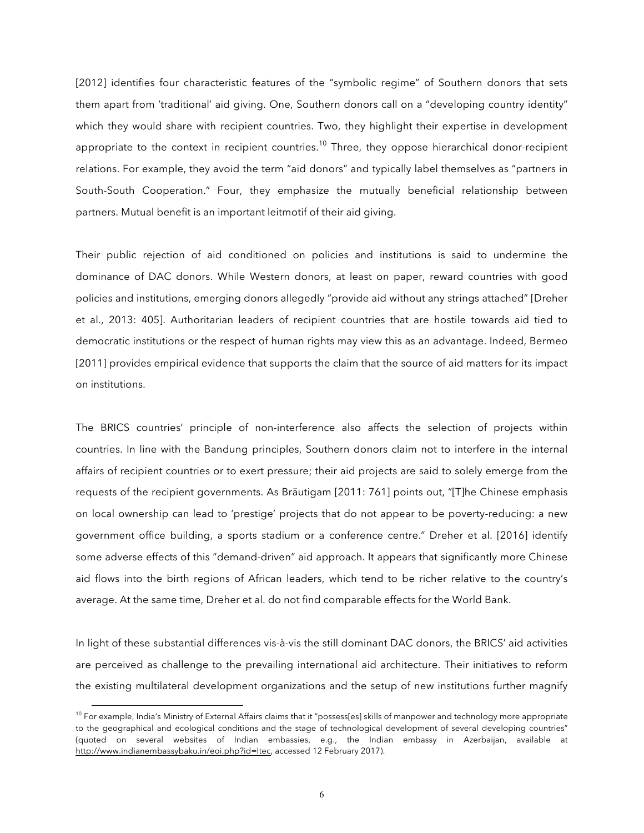[2012] identifies four characteristic features of the "symbolic regime" of Southern donors that sets them apart from 'traditional' aid giving. One, Southern donors call on a "developing country identity" which they would share with recipient countries. Two, they highlight their expertise in development appropriate to the context in recipient countries.<sup>10</sup> Three, they oppose hierarchical donor-recipient relations. For example, they avoid the term "aid donors" and typically label themselves as "partners in South-South Cooperation." Four, they emphasize the mutually beneficial relationship between partners. Mutual benefit is an important leitmotif of their aid giving.

Their public rejection of aid conditioned on policies and institutions is said to undermine the dominance of DAC donors. While Western donors, at least on paper, reward countries with good policies and institutions, emerging donors allegedly "provide aid without any strings attached" [Dreher et al., 2013: 405]. Authoritarian leaders of recipient countries that are hostile towards aid tied to democratic institutions or the respect of human rights may view this as an advantage. Indeed, Bermeo [2011] provides empirical evidence that supports the claim that the source of aid matters for its impact on institutions.

The BRICS countries' principle of non-interference also affects the selection of projects within countries. In line with the Bandung principles, Southern donors claim not to interfere in the internal affairs of recipient countries or to exert pressure; their aid projects are said to solely emerge from the requests of the recipient governments. As Bräutigam [2011: 761] points out, "[T]he Chinese emphasis on local ownership can lead to 'prestige' projects that do not appear to be poverty-reducing: a new government office building, a sports stadium or a conference centre." Dreher et al. [2016] identify some adverse effects of this "demand-driven" aid approach. It appears that significantly more Chinese aid flows into the birth regions of African leaders, which tend to be richer relative to the country's average. At the same time, Dreher et al. do not find comparable effects for the World Bank.

In light of these substantial differences vis-à-vis the still dominant DAC donors, the BRICS' aid activities are perceived as challenge to the prevailing international aid architecture. Their initiatives to reform the existing multilateral development organizations and the setup of new institutions further magnify

 $\overline{a}$ 

 $10$  For example, India's Ministry of External Affairs claims that it "possess[es] skills of manpower and technology more appropriate to the geographical and ecological conditions and the stage of technological development of several developing countries" (quoted on several websites of Indian embassies, e.g., the Indian embassy in Azerbaijan, available at http://www.indianembassybaku.in/eoi.php?id=Itec, accessed 12 February 2017).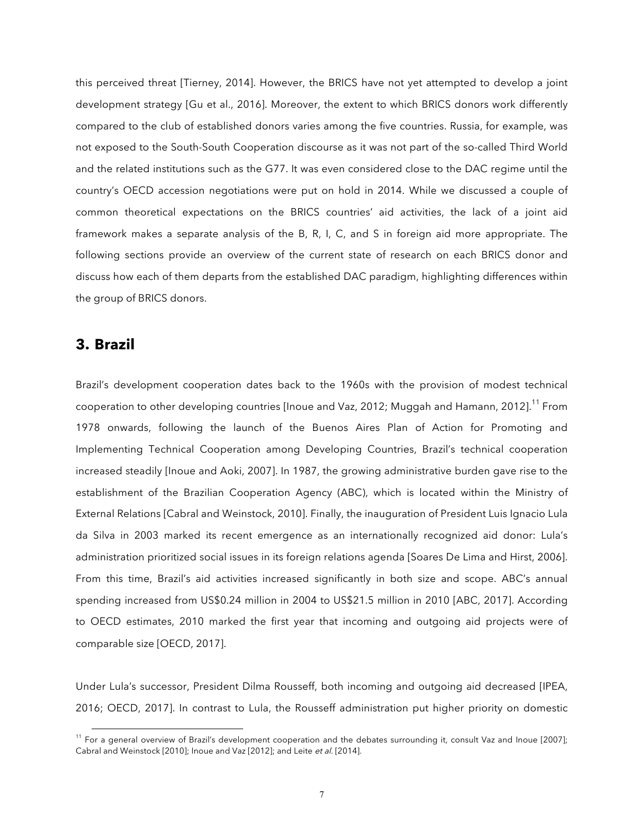this perceived threat [Tierney, 2014]. However, the BRICS have not yet attempted to develop a joint development strategy [Gu et al., 2016]. Moreover, the extent to which BRICS donors work differently compared to the club of established donors varies among the five countries. Russia, for example, was not exposed to the South-South Cooperation discourse as it was not part of the so-called Third World and the related institutions such as the G77. It was even considered close to the DAC regime until the country's OECD accession negotiations were put on hold in 2014. While we discussed a couple of common theoretical expectations on the BRICS countries' aid activities, the lack of a joint aid framework makes a separate analysis of the B, R, I, C, and S in foreign aid more appropriate. The following sections provide an overview of the current state of research on each BRICS donor and discuss how each of them departs from the established DAC paradigm, highlighting differences within the group of BRICS donors.

#### **3. Brazil**

l

Brazil's development cooperation dates back to the 1960s with the provision of modest technical cooperation to other developing countries [Inoue and Vaz, 2012; Muggah and Hamann, 2012].<sup>11</sup> From 1978 onwards, following the launch of the Buenos Aires Plan of Action for Promoting and Implementing Technical Cooperation among Developing Countries, Brazil's technical cooperation increased steadily [Inoue and Aoki, 2007]. In 1987, the growing administrative burden gave rise to the establishment of the Brazilian Cooperation Agency (ABC), which is located within the Ministry of External Relations [Cabral and Weinstock, 2010]. Finally, the inauguration of President Luis Ignacio Lula da Silva in 2003 marked its recent emergence as an internationally recognized aid donor: Lula's administration prioritized social issues in its foreign relations agenda [Soares De Lima and Hirst, 2006]. From this time, Brazil's aid activities increased significantly in both size and scope. ABC's annual spending increased from US\$0.24 million in 2004 to US\$21.5 million in 2010 [ABC, 2017]. According to OECD estimates, 2010 marked the first year that incoming and outgoing aid projects were of comparable size [OECD, 2017].

Under Lula's successor, President Dilma Rousseff, both incoming and outgoing aid decreased [IPEA, 2016; OECD, 2017]. In contrast to Lula, the Rousseff administration put higher priority on domestic

<sup>&</sup>lt;sup>11</sup> For a general overview of Brazil's development cooperation and the debates surrounding it, consult Vaz and Inoue [2007]; Cabral and Weinstock [2010]; Inoue and Vaz [2012]; and Leite et al. [2014].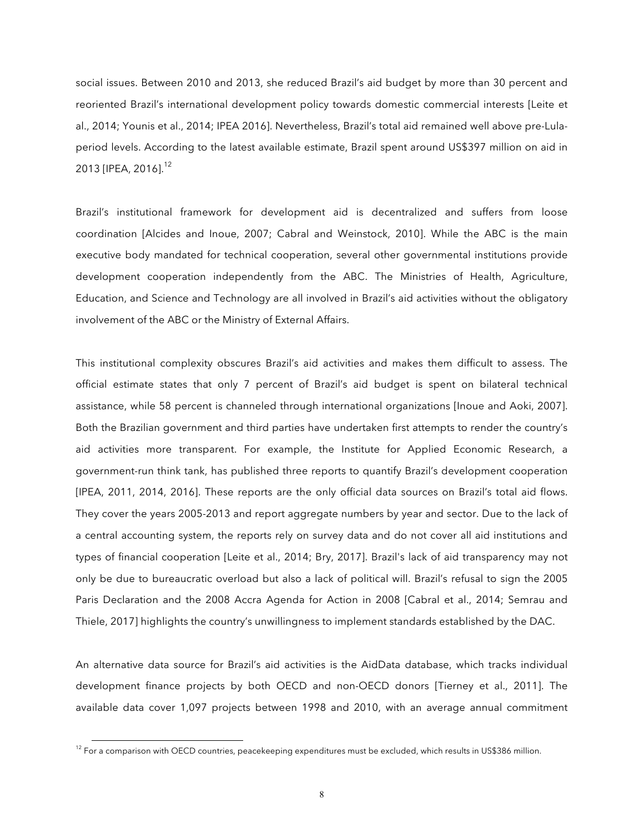social issues. Between 2010 and 2013, she reduced Brazil's aid budget by more than 30 percent and reoriented Brazil's international development policy towards domestic commercial interests [Leite et al., 2014; Younis et al., 2014; IPEA 2016]. Nevertheless, Brazil's total aid remained well above pre-Lulaperiod levels. According to the latest available estimate, Brazil spent around US\$397 million on aid in 2013 [IPEA, 2016]. 12

Brazil's institutional framework for development aid is decentralized and suffers from loose coordination [Alcides and Inoue, 2007; Cabral and Weinstock, 2010]. While the ABC is the main executive body mandated for technical cooperation, several other governmental institutions provide development cooperation independently from the ABC. The Ministries of Health, Agriculture, Education, and Science and Technology are all involved in Brazil's aid activities without the obligatory involvement of the ABC or the Ministry of External Affairs.

This institutional complexity obscures Brazil's aid activities and makes them difficult to assess. The official estimate states that only 7 percent of Brazil's aid budget is spent on bilateral technical assistance, while 58 percent is channeled through international organizations [Inoue and Aoki, 2007]. Both the Brazilian government and third parties have undertaken first attempts to render the country's aid activities more transparent. For example, the Institute for Applied Economic Research, a government-run think tank, has published three reports to quantify Brazil's development cooperation [IPEA, 2011, 2014, 2016]. These reports are the only official data sources on Brazil's total aid flows. They cover the years 2005-2013 and report aggregate numbers by year and sector. Due to the lack of a central accounting system, the reports rely on survey data and do not cover all aid institutions and types of financial cooperation [Leite et al., 2014; Bry, 2017]. Brazil's lack of aid transparency may not only be due to bureaucratic overload but also a lack of political will. Brazil's refusal to sign the 2005 Paris Declaration and the 2008 Accra Agenda for Action in 2008 [Cabral et al., 2014; Semrau and Thiele, 2017] highlights the country's unwillingness to implement standards established by the DAC.

An alternative data source for Brazil's aid activities is the AidData database, which tracks individual development finance projects by both OECD and non-OECD donors [Tierney et al., 2011]. The available data cover 1,097 projects between 1998 and 2010, with an average annual commitment

 $^{12}$  For a comparison with OECD countries, peacekeeping expenditures must be excluded, which results in US\$386 million.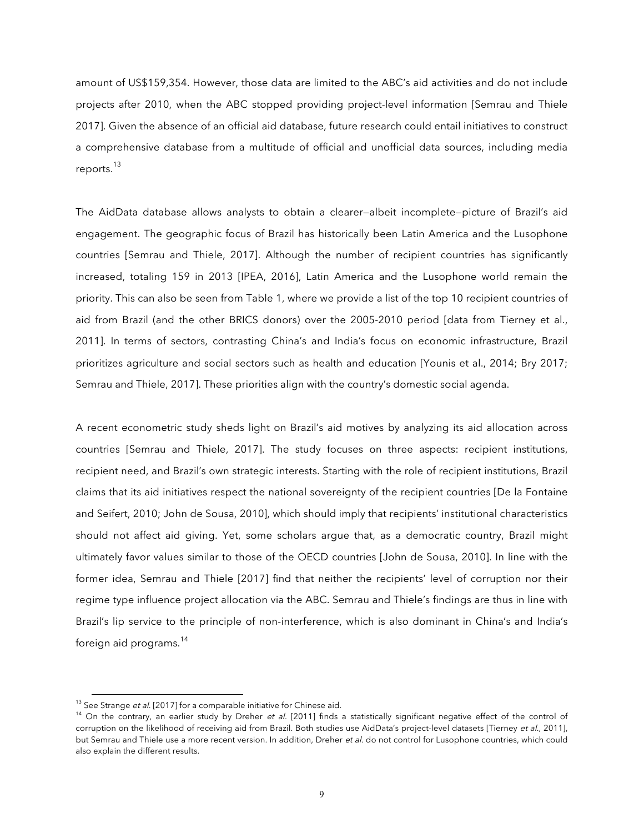amount of US\$159,354. However, those data are limited to the ABC's aid activities and do not include projects after 2010, when the ABC stopped providing project-level information [Semrau and Thiele 2017]. Given the absence of an official aid database, future research could entail initiatives to construct a comprehensive database from a multitude of official and unofficial data sources, including media reports.<sup>13</sup>

The AidData database allows analysts to obtain a clearer—albeit incomplete—picture of Brazil's aid engagement. The geographic focus of Brazil has historically been Latin America and the Lusophone countries [Semrau and Thiele, 2017]. Although the number of recipient countries has significantly increased, totaling 159 in 2013 [IPEA, 2016], Latin America and the Lusophone world remain the priority. This can also be seen from Table 1, where we provide a list of the top 10 recipient countries of aid from Brazil (and the other BRICS donors) over the 2005-2010 period [data from Tierney et al., 2011]. In terms of sectors, contrasting China's and India's focus on economic infrastructure, Brazil prioritizes agriculture and social sectors such as health and education [Younis et al., 2014; Bry 2017; Semrau and Thiele, 2017]. These priorities align with the country's domestic social agenda.

A recent econometric study sheds light on Brazil's aid motives by analyzing its aid allocation across countries [Semrau and Thiele, 2017]. The study focuses on three aspects: recipient institutions, recipient need, and Brazil's own strategic interests. Starting with the role of recipient institutions, Brazil claims that its aid initiatives respect the national sovereignty of the recipient countries [De la Fontaine and Seifert, 2010; John de Sousa, 2010], which should imply that recipients' institutional characteristics should not affect aid giving. Yet, some scholars argue that, as a democratic country, Brazil might ultimately favor values similar to those of the OECD countries [John de Sousa, 2010]. In line with the former idea, Semrau and Thiele [2017] find that neither the recipients' level of corruption nor their regime type influence project allocation via the ABC. Semrau and Thiele's findings are thus in line with Brazil's lip service to the principle of non-interference, which is also dominant in China's and India's foreign aid programs.<sup>14</sup>

 $13$  See Strange et al. [2017] for a comparable initiative for Chinese aid.

<sup>&</sup>lt;sup>14</sup> On the contrary, an earlier study by Dreher et al. [2011] finds a statistically significant negative effect of the control of corruption on the likelihood of receiving aid from Brazil. Both studies use AidData's project-level datasets [Tierney et al., 2011], but Semrau and Thiele use a more recent version. In addition, Dreher et al. do not control for Lusophone countries, which could also explain the different results.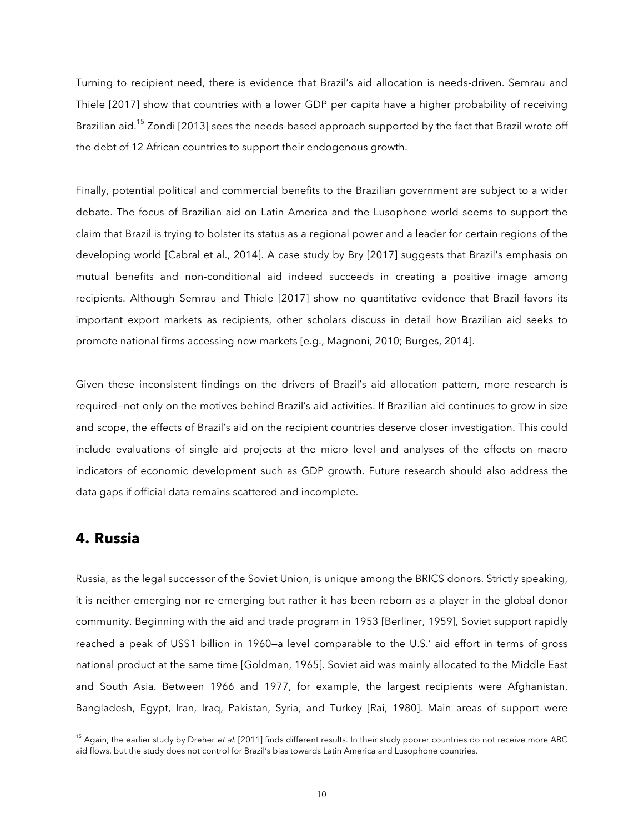Turning to recipient need, there is evidence that Brazil's aid allocation is needs-driven. Semrau and Thiele [2017] show that countries with a lower GDP per capita have a higher probability of receiving Brazilian aid.<sup>15</sup> Zondi [2013] sees the needs-based approach supported by the fact that Brazil wrote off the debt of 12 African countries to support their endogenous growth.

Finally, potential political and commercial benefits to the Brazilian government are subject to a wider debate. The focus of Brazilian aid on Latin America and the Lusophone world seems to support the claim that Brazil is trying to bolster its status as a regional power and a leader for certain regions of the developing world [Cabral et al., 2014]. A case study by Bry [2017] suggests that Brazil's emphasis on mutual benefits and non-conditional aid indeed succeeds in creating a positive image among recipients. Although Semrau and Thiele [2017] show no quantitative evidence that Brazil favors its important export markets as recipients, other scholars discuss in detail how Brazilian aid seeks to promote national firms accessing new markets [e.g., Magnoni, 2010; Burges, 2014].

Given these inconsistent findings on the drivers of Brazil's aid allocation pattern, more research is required—not only on the motives behind Brazil's aid activities. If Brazilian aid continues to grow in size and scope, the effects of Brazil's aid on the recipient countries deserve closer investigation. This could include evaluations of single aid projects at the micro level and analyses of the effects on macro indicators of economic development such as GDP growth. Future research should also address the data gaps if official data remains scattered and incomplete.

#### **4. Russia**

l

Russia, as the legal successor of the Soviet Union, is unique among the BRICS donors. Strictly speaking, it is neither emerging nor re-emerging but rather it has been reborn as a player in the global donor community. Beginning with the aid and trade program in 1953 [Berliner, 1959], Soviet support rapidly reached a peak of US\$1 billion in 1960—a level comparable to the U.S.' aid effort in terms of gross national product at the same time [Goldman, 1965]. Soviet aid was mainly allocated to the Middle East and South Asia. Between 1966 and 1977, for example, the largest recipients were Afghanistan, Bangladesh, Egypt, Iran, Iraq, Pakistan, Syria, and Turkey [Rai, 1980]. Main areas of support were

<sup>&</sup>lt;sup>15</sup> Again, the earlier study by Dreher *et al.* [2011] finds different results. In their study poorer countries do not receive more ABC aid flows, but the study does not control for Brazil's bias towards Latin America and Lusophone countries.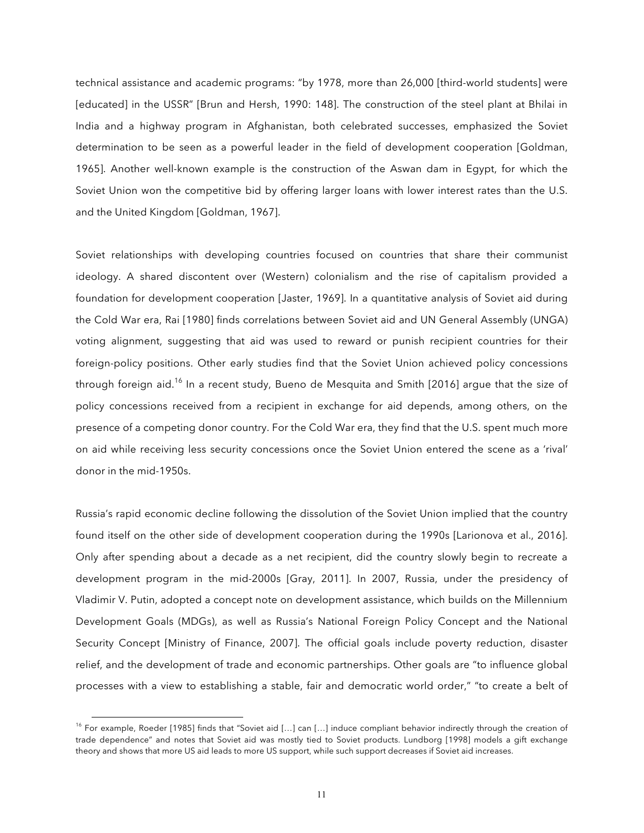technical assistance and academic programs: "by 1978, more than 26,000 [third-world students] were [educated] in the USSR" [Brun and Hersh, 1990: 148]. The construction of the steel plant at Bhilai in India and a highway program in Afghanistan, both celebrated successes, emphasized the Soviet determination to be seen as a powerful leader in the field of development cooperation [Goldman, 1965]. Another well-known example is the construction of the Aswan dam in Egypt, for which the Soviet Union won the competitive bid by offering larger loans with lower interest rates than the U.S. and the United Kingdom [Goldman, 1967].

Soviet relationships with developing countries focused on countries that share their communist ideology. A shared discontent over (Western) colonialism and the rise of capitalism provided a foundation for development cooperation [Jaster, 1969]. In a quantitative analysis of Soviet aid during the Cold War era, Rai [1980] finds correlations between Soviet aid and UN General Assembly (UNGA) voting alignment, suggesting that aid was used to reward or punish recipient countries for their foreign-policy positions. Other early studies find that the Soviet Union achieved policy concessions through foreign aid.<sup>16</sup> In a recent study, Bueno de Mesquita and Smith [2016] argue that the size of policy concessions received from a recipient in exchange for aid depends, among others, on the presence of a competing donor country. For the Cold War era, they find that the U.S. spent much more on aid while receiving less security concessions once the Soviet Union entered the scene as a 'rival' donor in the mid-1950s.

Russia's rapid economic decline following the dissolution of the Soviet Union implied that the country found itself on the other side of development cooperation during the 1990s [Larionova et al., 2016]. Only after spending about a decade as a net recipient, did the country slowly begin to recreate a development program in the mid-2000s [Gray, 2011]. In 2007, Russia, under the presidency of Vladimir V. Putin, adopted a concept note on development assistance, which builds on the Millennium Development Goals (MDGs), as well as Russia's National Foreign Policy Concept and the National Security Concept [Ministry of Finance, 2007]. The official goals include poverty reduction, disaster relief, and the development of trade and economic partnerships. Other goals are "to influence global processes with a view to establishing a stable, fair and democratic world order," "to create a belt of

<sup>&</sup>lt;sup>16</sup> For example, Roeder [1985] finds that "Soviet aid [...] can [...] induce compliant behavior indirectly through the creation of trade dependence" and notes that Soviet aid was mostly tied to Soviet products. Lundborg [1998] models a gift exchange theory and shows that more US aid leads to more US support, while such support decreases if Soviet aid increases.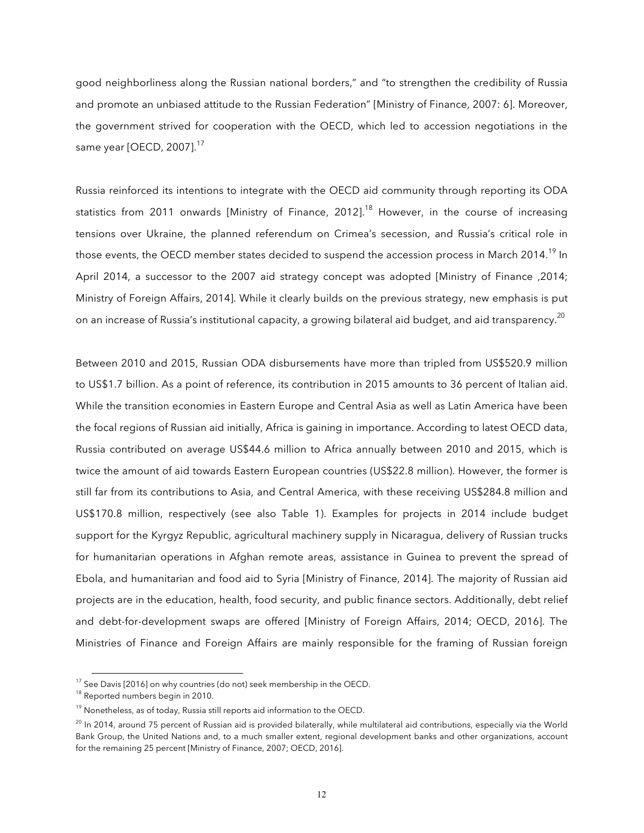good neighborliness along the Russian national borders," and "to strengthen the credibility of Russia and promote an unbiased attitude to the Russian Federation" [Ministry of Finance, 2007: 6]. Moreover, the government strived for cooperation with the OECD, which led to accession negotiations in the same year [OECD, 2007].<sup>17</sup>

Russia reinforced its intentions to integrate with the OECD aid community through reporting its ODA statistics from 2011 onwards [Ministry of Finance, 2012].<sup>18</sup> However, in the course of increasing tensions over Ukraine, the planned referendum on Crimea's secession, and Russia's critical role in those events, the OECD member states decided to suspend the accession process in March 2014.<sup>19</sup> In April 2014, a successor to the 2007 aid strategy concept was adopted [Ministry of Finance ,2014; Ministry of Foreign Affairs, 2014]. While it clearly builds on the previous strategy, new emphasis is put on an increase of Russia's institutional capacity, a growing bilateral aid budget, and aid transparency.<sup>20</sup>

Between 2010 and 2015, Russian ODA disbursements have more than tripled from US\$520.9 million to US\$1.7 billion. As a point of reference, its contribution in 2015 amounts to 36 percent of Italian aid. While the transition economies in Eastern Europe and Central Asia as well as Latin America have been the focal regions of Russian aid initially, Africa is gaining in importance. According to latest OECD data, Russia contributed on average US\$44.6 million to Africa annually between 2010 and 2015, which is twice the amount of aid towards Eastern European countries (US\$22.8 million). However, the former is still far from its contributions to Asia, and Central America, with these receiving US\$284.8 million and US\$170.8 million, respectively (see also Table 1). Examples for projects in 2014 include budget support for the Kyrgyz Republic, agricultural machinery supply in Nicaragua, delivery of Russian trucks for humanitarian operations in Afghan remote areas, assistance in Guinea to prevent the spread of Ebola, and humanitarian and food aid to Syria [Ministry of Finance, 2014]. The majority of Russian aid projects are in the education, health, food security, and public finance sectors. Additionally, debt relief and debt-for-development swaps are offered [Ministry of Foreign Affairs, 2014; OECD, 2016]. The Ministries of Finance and Foreign Affairs are mainly responsible for the framing of Russian foreign

 $17$  See Davis [2016] on why countries (do not) seek membership in the OECD.

<sup>&</sup>lt;sup>18</sup> Reported numbers begin in 2010.

 $19$  Nonetheless, as of today, Russia still reports aid information to the OECD.

 $^{20}$  In 2014, around 75 percent of Russian aid is provided bilaterally, while multilateral aid contributions, especially via the World Bank Group, the United Nations and, to a much smaller extent, regional development banks and other organizations, account for the remaining 25 percent [Ministry of Finance, 2007; OECD, 2016].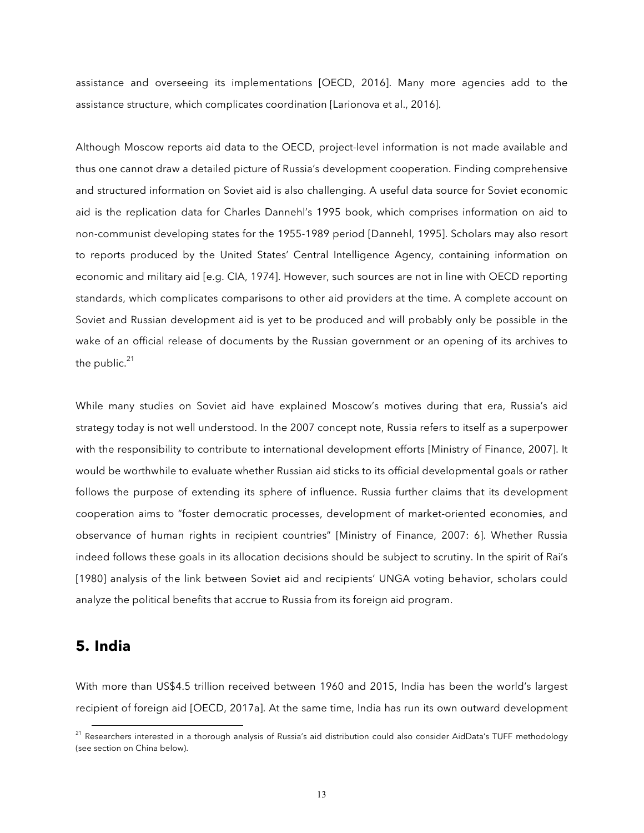assistance and overseeing its implementations [OECD, 2016]. Many more agencies add to the assistance structure, which complicates coordination [Larionova et al., 2016].

Although Moscow reports aid data to the OECD, project-level information is not made available and thus one cannot draw a detailed picture of Russia's development cooperation. Finding comprehensive and structured information on Soviet aid is also challenging. A useful data source for Soviet economic aid is the replication data for Charles Dannehl's 1995 book, which comprises information on aid to non-communist developing states for the 1955-1989 period [Dannehl, 1995]. Scholars may also resort to reports produced by the United States' Central Intelligence Agency, containing information on economic and military aid [e.g. CIA, 1974]. However, such sources are not in line with OECD reporting standards, which complicates comparisons to other aid providers at the time. A complete account on Soviet and Russian development aid is yet to be produced and will probably only be possible in the wake of an official release of documents by the Russian government or an opening of its archives to the public. $21$ 

While many studies on Soviet aid have explained Moscow's motives during that era, Russia's aid strategy today is not well understood. In the 2007 concept note, Russia refers to itself as a superpower with the responsibility to contribute to international development efforts [Ministry of Finance, 2007]. It would be worthwhile to evaluate whether Russian aid sticks to its official developmental goals or rather follows the purpose of extending its sphere of influence. Russia further claims that its development cooperation aims to "foster democratic processes, development of market-oriented economies, and observance of human rights in recipient countries" [Ministry of Finance, 2007: 6]. Whether Russia indeed follows these goals in its allocation decisions should be subject to scrutiny. In the spirit of Rai's [1980] analysis of the link between Soviet aid and recipients' UNGA voting behavior, scholars could analyze the political benefits that accrue to Russia from its foreign aid program.

#### **5. India**

l

With more than US\$4.5 trillion received between 1960 and 2015, India has been the world's largest recipient of foreign aid [OECD, 2017a]. At the same time, India has run its own outward development

 $^{21}$  Researchers interested in a thorough analysis of Russia's aid distribution could also consider AidData's TUFF methodology (see section on China below).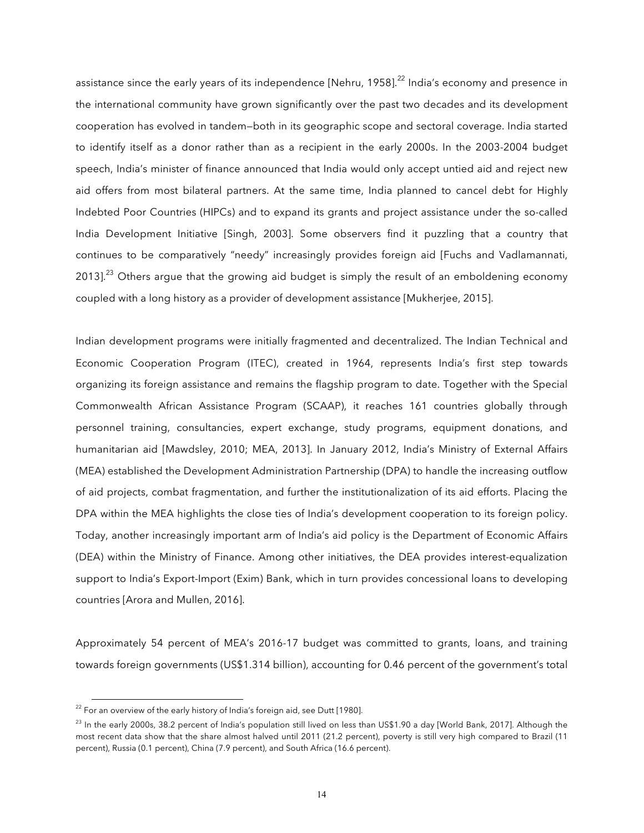assistance since the early years of its independence [Nehru, 1958].<sup>22</sup> India's economy and presence in the international community have grown significantly over the past two decades and its development cooperation has evolved in tandem—both in its geographic scope and sectoral coverage. India started to identify itself as a donor rather than as a recipient in the early 2000s. In the 2003-2004 budget speech, India's minister of finance announced that India would only accept untied aid and reject new aid offers from most bilateral partners. At the same time, India planned to cancel debt for Highly Indebted Poor Countries (HIPCs) and to expand its grants and project assistance under the so-called India Development Initiative [Singh, 2003]. Some observers find it puzzling that a country that continues to be comparatively "needy" increasingly provides foreign aid [Fuchs and Vadlamannati, 20131.<sup>23</sup> Others arque that the growing aid budget is simply the result of an emboldening economy coupled with a long history as a provider of development assistance [Mukherjee, 2015].

Indian development programs were initially fragmented and decentralized. The Indian Technical and Economic Cooperation Program (ITEC), created in 1964, represents India's first step towards organizing its foreign assistance and remains the flagship program to date. Together with the Special Commonwealth African Assistance Program (SCAAP), it reaches 161 countries globally through personnel training, consultancies, expert exchange, study programs, equipment donations, and humanitarian aid [Mawdsley, 2010; MEA, 2013]. In January 2012, India's Ministry of External Affairs (MEA) established the Development Administration Partnership (DPA) to handle the increasing outflow of aid projects, combat fragmentation, and further the institutionalization of its aid efforts. Placing the DPA within the MEA highlights the close ties of India's development cooperation to its foreign policy. Today, another increasingly important arm of India's aid policy is the Department of Economic Affairs (DEA) within the Ministry of Finance. Among other initiatives, the DEA provides interest-equalization support to India's Export-Import (Exim) Bank, which in turn provides concessional loans to developing countries [Arora and Mullen, 2016].

Approximately 54 percent of MEA's 2016-17 budget was committed to grants, loans, and training towards foreign governments (US\$1.314 billion), accounting for 0.46 percent of the government's total

 $\overline{a}$ 

 $22$  For an overview of the early history of India's foreign aid, see Dutt [1980].

 $^{23}$  In the early 2000s, 38.2 percent of India's population still lived on less than US\$1.90 a day [World Bank, 2017]. Although the most recent data show that the share almost halved until 2011 (21.2 percent), poverty is still very high compared to Brazil (11 percent), Russia (0.1 percent), China (7.9 percent), and South Africa (16.6 percent).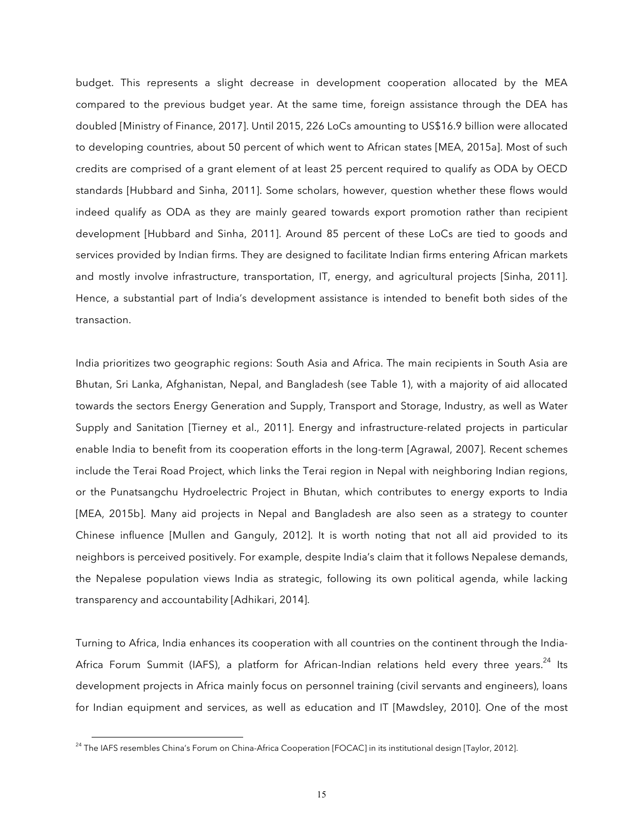budget. This represents a slight decrease in development cooperation allocated by the MEA compared to the previous budget year. At the same time, foreign assistance through the DEA has doubled [Ministry of Finance, 2017]. Until 2015, 226 LoCs amounting to US\$16.9 billion were allocated to developing countries, about 50 percent of which went to African states [MEA, 2015a]. Most of such credits are comprised of a grant element of at least 25 percent required to qualify as ODA by OECD standards [Hubbard and Sinha, 2011]. Some scholars, however, question whether these flows would indeed qualify as ODA as they are mainly geared towards export promotion rather than recipient development [Hubbard and Sinha, 2011]. Around 85 percent of these LoCs are tied to goods and services provided by Indian firms. They are designed to facilitate Indian firms entering African markets and mostly involve infrastructure, transportation, IT, energy, and agricultural projects [Sinha, 2011]. Hence, a substantial part of India's development assistance is intended to benefit both sides of the transaction.

India prioritizes two geographic regions: South Asia and Africa. The main recipients in South Asia are Bhutan, Sri Lanka, Afghanistan, Nepal, and Bangladesh (see Table 1), with a majority of aid allocated towards the sectors Energy Generation and Supply, Transport and Storage, Industry, as well as Water Supply and Sanitation [Tierney et al., 2011]. Energy and infrastructure-related projects in particular enable India to benefit from its cooperation efforts in the long-term [Agrawal, 2007]. Recent schemes include the Terai Road Project, which links the Terai region in Nepal with neighboring Indian regions, or the Punatsangchu Hydroelectric Project in Bhutan, which contributes to energy exports to India [MEA, 2015b]. Many aid projects in Nepal and Bangladesh are also seen as a strategy to counter Chinese influence [Mullen and Ganguly, 2012]. It is worth noting that not all aid provided to its neighbors is perceived positively. For example, despite India's claim that it follows Nepalese demands, the Nepalese population views India as strategic, following its own political agenda, while lacking transparency and accountability [Adhikari, 2014].

Turning to Africa, India enhances its cooperation with all countries on the continent through the India-Africa Forum Summit (IAFS), a platform for African-Indian relations held every three years.<sup>24</sup> Its development projects in Africa mainly focus on personnel training (civil servants and engineers), loans for Indian equipment and services, as well as education and IT [Mawdsley, 2010]. One of the most

<sup>&</sup>lt;sup>24</sup> The IAFS resembles China's Forum on China-Africa Cooperation [FOCAC] in its institutional design [Taylor, 2012].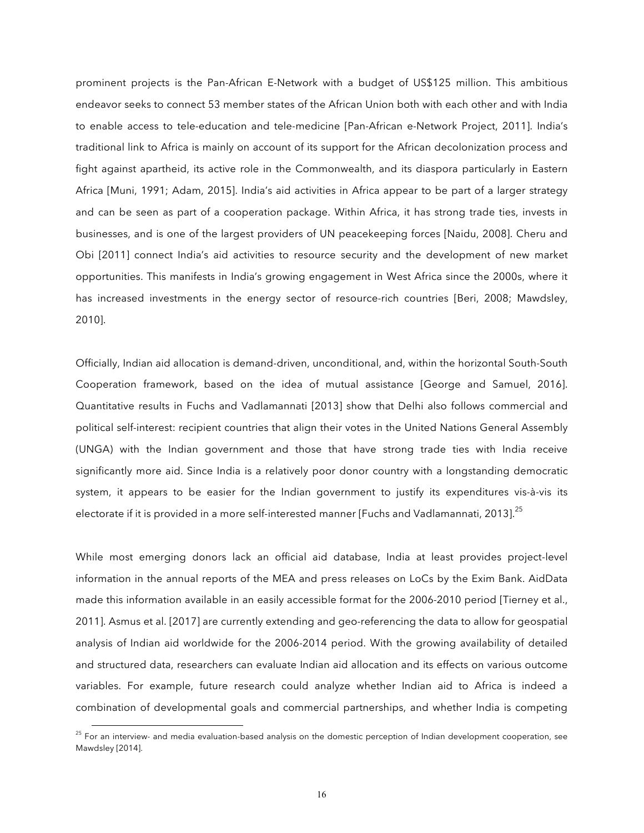prominent projects is the Pan-African E-Network with a budget of US\$125 million. This ambitious endeavor seeks to connect 53 member states of the African Union both with each other and with India to enable access to tele-education and tele-medicine [Pan-African e-Network Project, 2011]. India's traditional link to Africa is mainly on account of its support for the African decolonization process and fight against apartheid, its active role in the Commonwealth, and its diaspora particularly in Eastern Africa [Muni, 1991; Adam, 2015]. India's aid activities in Africa appear to be part of a larger strategy and can be seen as part of a cooperation package. Within Africa, it has strong trade ties, invests in businesses, and is one of the largest providers of UN peacekeeping forces [Naidu, 2008]. Cheru and Obi [2011] connect India's aid activities to resource security and the development of new market opportunities. This manifests in India's growing engagement in West Africa since the 2000s, where it has increased investments in the energy sector of resource-rich countries [Beri, 2008; Mawdsley, 2010].

Officially, Indian aid allocation is demand-driven, unconditional, and, within the horizontal South-South Cooperation framework, based on the idea of mutual assistance [George and Samuel, 2016]. Quantitative results in Fuchs and Vadlamannati [2013] show that Delhi also follows commercial and political self-interest: recipient countries that align their votes in the United Nations General Assembly (UNGA) with the Indian government and those that have strong trade ties with India receive significantly more aid. Since India is a relatively poor donor country with a longstanding democratic system, it appears to be easier for the Indian government to justify its expenditures vis-à-vis its electorate if it is provided in a more self-interested manner [Fuchs and Vadlamannati, 2013].<sup>25</sup>

While most emerging donors lack an official aid database, India at least provides project-level information in the annual reports of the MEA and press releases on LoCs by the Exim Bank. AidData made this information available in an easily accessible format for the 2006-2010 period [Tierney et al., 2011]. Asmus et al. [2017] are currently extending and geo-referencing the data to allow for geospatial analysis of Indian aid worldwide for the 2006-2014 period. With the growing availability of detailed and structured data, researchers can evaluate Indian aid allocation and its effects on various outcome variables. For example, future research could analyze whether Indian aid to Africa is indeed a combination of developmental goals and commercial partnerships, and whether India is competing

 $^{25}$  For an interview- and media evaluation-based analysis on the domestic perception of Indian development cooperation, see Mawdsley [2014].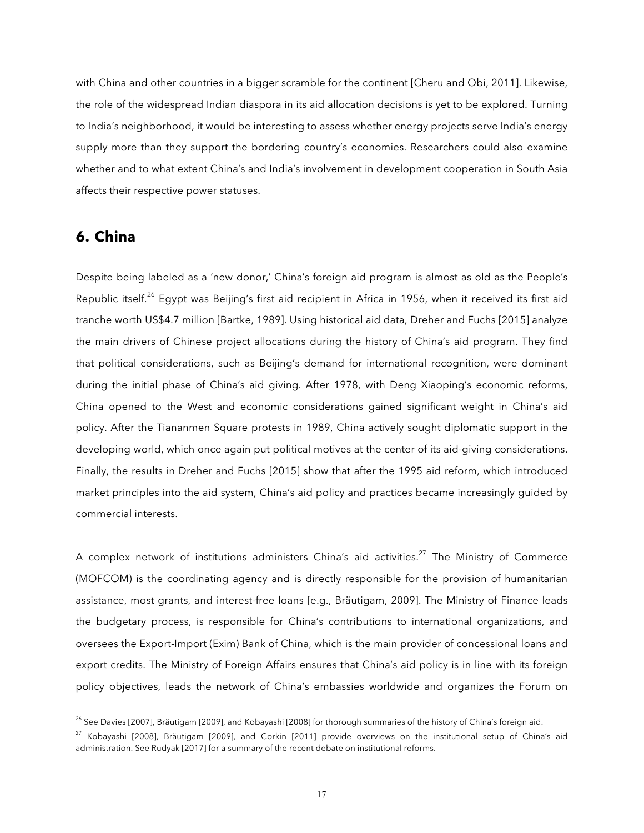with China and other countries in a bigger scramble for the continent [Cheru and Obi, 2011]. Likewise, the role of the widespread Indian diaspora in its aid allocation decisions is yet to be explored. Turning to India's neighborhood, it would be interesting to assess whether energy projects serve India's energy supply more than they support the bordering country's economies. Researchers could also examine whether and to what extent China's and India's involvement in development cooperation in South Asia affects their respective power statuses.

#### **6. China**

l

Despite being labeled as a 'new donor,' China's foreign aid program is almost as old as the People's Republic itself.<sup>26</sup> Egypt was Beijing's first aid recipient in Africa in 1956, when it received its first aid tranche worth US\$4.7 million [Bartke, 1989]. Using historical aid data, Dreher and Fuchs [2015] analyze the main drivers of Chinese project allocations during the history of China's aid program. They find that political considerations, such as Beijing's demand for international recognition, were dominant during the initial phase of China's aid giving. After 1978, with Deng Xiaoping's economic reforms, China opened to the West and economic considerations gained significant weight in China's aid policy. After the Tiananmen Square protests in 1989, China actively sought diplomatic support in the developing world, which once again put political motives at the center of its aid-giving considerations. Finally, the results in Dreher and Fuchs [2015] show that after the 1995 aid reform, which introduced market principles into the aid system, China's aid policy and practices became increasingly guided by commercial interests.

A complex network of institutions administers China's aid activities.<sup>27</sup> The Ministry of Commerce (MOFCOM) is the coordinating agency and is directly responsible for the provision of humanitarian assistance, most grants, and interest-free loans [e.g., Bräutigam, 2009]. The Ministry of Finance leads the budgetary process, is responsible for China's contributions to international organizations, and oversees the Export-Import (Exim) Bank of China, which is the main provider of concessional loans and export credits. The Ministry of Foreign Affairs ensures that China's aid policy is in line with its foreign policy objectives, leads the network of China's embassies worldwide and organizes the Forum on

 $^{26}$  See Davies [2007], Bräutigam [2009], and Kobayashi [2008] for thorough summaries of the history of China's foreign aid.

<sup>&</sup>lt;sup>27</sup> Kobayashi [2008], Bräutigam [2009], and Corkin [2011] provide overviews on the institutional setup of China's aid administration. See Rudyak [2017] for a summary of the recent debate on institutional reforms.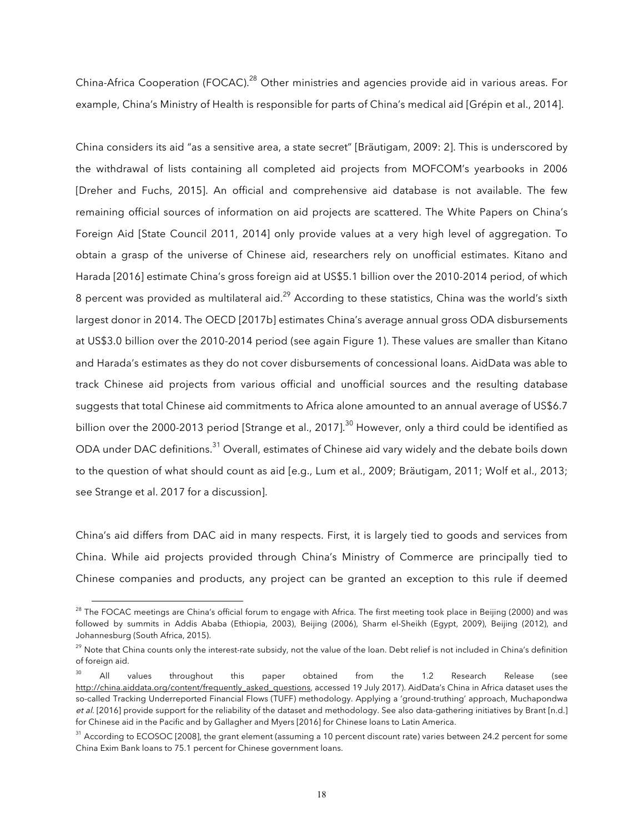China-Africa Cooperation (FOCAC).<sup>28</sup> Other ministries and agencies provide aid in various areas. For example, China's Ministry of Health is responsible for parts of China's medical aid [Grépin et al., 2014].

China considers its aid "as a sensitive area, a state secret" [Bräutigam, 2009: 2]. This is underscored by the withdrawal of lists containing all completed aid projects from MOFCOM's yearbooks in 2006 [Dreher and Fuchs, 2015]. An official and comprehensive aid database is not available. The few remaining official sources of information on aid projects are scattered. The White Papers on China's Foreign Aid [State Council 2011, 2014] only provide values at a very high level of aggregation. To obtain a grasp of the universe of Chinese aid, researchers rely on unofficial estimates. Kitano and Harada [2016] estimate China's gross foreign aid at US\$5.1 billion over the 2010-2014 period, of which 8 percent was provided as multilateral aid.<sup>29</sup> According to these statistics, China was the world's sixth largest donor in 2014. The OECD [2017b] estimates China's average annual gross ODA disbursements at US\$3.0 billion over the 2010-2014 period (see again Figure 1). These values are smaller than Kitano and Harada's estimates as they do not cover disbursements of concessional loans. AidData was able to track Chinese aid projects from various official and unofficial sources and the resulting database suggests that total Chinese aid commitments to Africa alone amounted to an annual average of US\$6.7 billion over the 2000-2013 period [Strange et al., 2017].<sup>30</sup> However, only a third could be identified as ODA under DAC definitions.<sup>31</sup> Overall, estimates of Chinese aid vary widely and the debate boils down to the question of what should count as aid [e.g., Lum et al., 2009; Bräutigam, 2011; Wolf et al., 2013; see Strange et al. 2017 for a discussion].

China's aid differs from DAC aid in many respects. First, it is largely tied to goods and services from China. While aid projects provided through China's Ministry of Commerce are principally tied to Chinese companies and products, any project can be granted an exception to this rule if deemed

 $\overline{a}$ 

 $^{28}$  The FOCAC meetings are China's official forum to engage with Africa. The first meeting took place in Beijing (2000) and was followed by summits in Addis Ababa (Ethiopia, 2003), Beijing (2006), Sharm el-Sheikh (Egypt, 2009), Beijing (2012), and Johannesburg (South Africa, 2015).

<sup>&</sup>lt;sup>29</sup> Note that China counts only the interest-rate subsidy, not the value of the loan. Debt relief is not included in China's definition of foreign aid.

 $30$  All values throughout this paper obtained from the 1.2 Research Release (see http://china.aiddata.org/content/frequently\_asked\_questions, accessed 19 July 2017). AidData's China in Africa dataset uses the so-called Tracking Underreported Financial Flows (TUFF) methodology. Applying a 'ground-truthing' approach, Muchapondwa et al. [2016] provide support for the reliability of the dataset and methodology. See also data-gathering initiatives by Brant [n.d.] for Chinese aid in the Pacific and by Gallagher and Myers [2016] for Chinese loans to Latin America.

<sup>&</sup>lt;sup>31</sup> According to ECOSOC [2008], the grant element (assuming a 10 percent discount rate) varies between 24.2 percent for some China Exim Bank loans to 75.1 percent for Chinese government loans.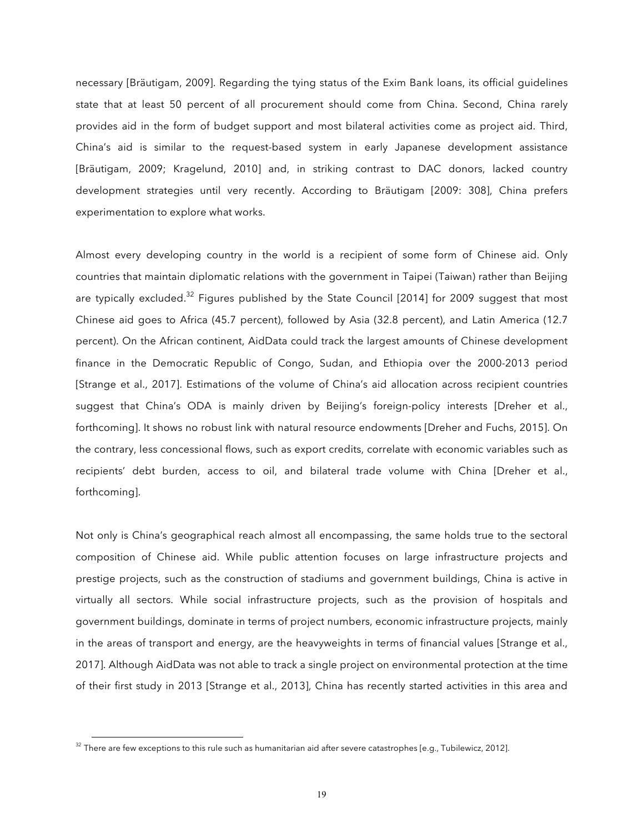necessary [Bräutigam, 2009]. Regarding the tying status of the Exim Bank loans, its official guidelines state that at least 50 percent of all procurement should come from China. Second, China rarely provides aid in the form of budget support and most bilateral activities come as project aid. Third, China's aid is similar to the request-based system in early Japanese development assistance [Bräutigam, 2009; Kragelund, 2010] and, in striking contrast to DAC donors, lacked country development strategies until very recently. According to Bräutigam [2009: 308], China prefers experimentation to explore what works.

Almost every developing country in the world is a recipient of some form of Chinese aid. Only countries that maintain diplomatic relations with the government in Taipei (Taiwan) rather than Beijing are typically excluded.<sup>32</sup> Figures published by the State Council [2014] for 2009 suggest that most Chinese aid goes to Africa (45.7 percent), followed by Asia (32.8 percent), and Latin America (12.7 percent). On the African continent, AidData could track the largest amounts of Chinese development finance in the Democratic Republic of Congo, Sudan, and Ethiopia over the 2000-2013 period [Strange et al., 2017]. Estimations of the volume of China's aid allocation across recipient countries suggest that China's ODA is mainly driven by Beijing's foreign-policy interests [Dreher et al., forthcoming]. It shows no robust link with natural resource endowments [Dreher and Fuchs, 2015]. On the contrary, less concessional flows, such as export credits, correlate with economic variables such as recipients' debt burden, access to oil, and bilateral trade volume with China [Dreher et al., forthcoming].

Not only is China's geographical reach almost all encompassing, the same holds true to the sectoral composition of Chinese aid. While public attention focuses on large infrastructure projects and prestige projects, such as the construction of stadiums and government buildings, China is active in virtually all sectors. While social infrastructure projects, such as the provision of hospitals and government buildings, dominate in terms of project numbers, economic infrastructure projects, mainly in the areas of transport and energy, are the heavyweights in terms of financial values [Strange et al., 2017]. Although AidData was not able to track a single project on environmental protection at the time of their first study in 2013 [Strange et al., 2013], China has recently started activities in this area and

 $32$  There are few exceptions to this rule such as humanitarian aid after severe catastrophes [e.g., Tubilewicz, 2012].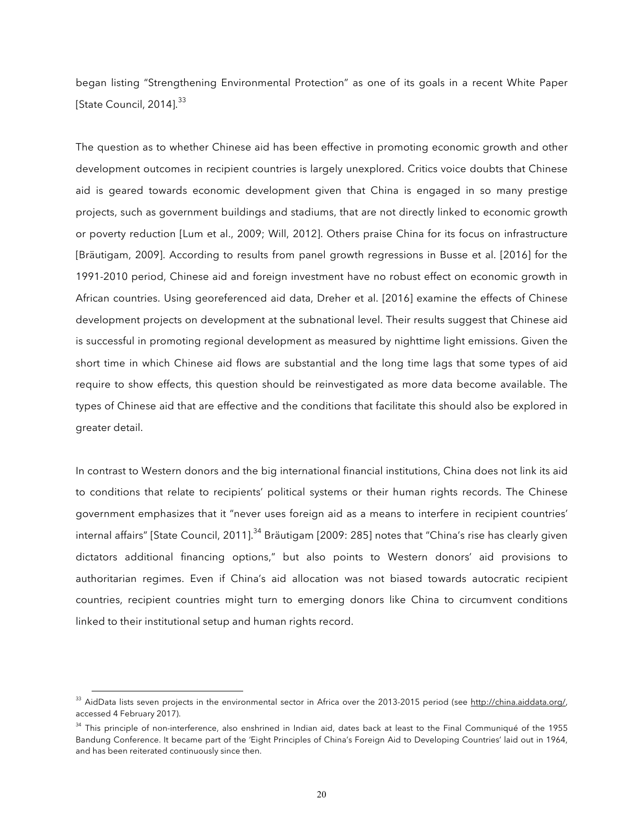began listing "Strengthening Environmental Protection" as one of its goals in a recent White Paper [State Council, 2014].<sup>33</sup>

The question as to whether Chinese aid has been effective in promoting economic growth and other development outcomes in recipient countries is largely unexplored. Critics voice doubts that Chinese aid is geared towards economic development given that China is engaged in so many prestige projects, such as government buildings and stadiums, that are not directly linked to economic growth or poverty reduction [Lum et al., 2009; Will, 2012]. Others praise China for its focus on infrastructure [Bräutigam, 2009]. According to results from panel growth regressions in Busse et al. [2016] for the 1991-2010 period, Chinese aid and foreign investment have no robust effect on economic growth in African countries. Using georeferenced aid data, Dreher et al. [2016] examine the effects of Chinese development projects on development at the subnational level. Their results suggest that Chinese aid is successful in promoting regional development as measured by nighttime light emissions. Given the short time in which Chinese aid flows are substantial and the long time lags that some types of aid require to show effects, this question should be reinvestigated as more data become available. The types of Chinese aid that are effective and the conditions that facilitate this should also be explored in greater detail.

In contrast to Western donors and the big international financial institutions, China does not link its aid to conditions that relate to recipients' political systems or their human rights records. The Chinese government emphasizes that it "never uses foreign aid as a means to interfere in recipient countries' internal affairs" [State Council, 2011].<sup>34</sup> Bräutigam [2009: 285] notes that "China's rise has clearly given dictators additional financing options," but also points to Western donors' aid provisions to authoritarian regimes. Even if China's aid allocation was not biased towards autocratic recipient countries, recipient countries might turn to emerging donors like China to circumvent conditions linked to their institutional setup and human rights record.

 $\overline{a}$ 

<sup>&</sup>lt;sup>33</sup> AidData lists seven projects in the environmental sector in Africa over the 2013-2015 period (see http://china.aiddata.org/, accessed 4 February 2017).

<sup>&</sup>lt;sup>34</sup> This principle of non-interference, also enshrined in Indian aid, dates back at least to the Final Communiqué of the 1955 Bandung Conference. It became part of the 'Eight Principles of China's Foreign Aid to Developing Countries' laid out in 1964, and has been reiterated continuously since then.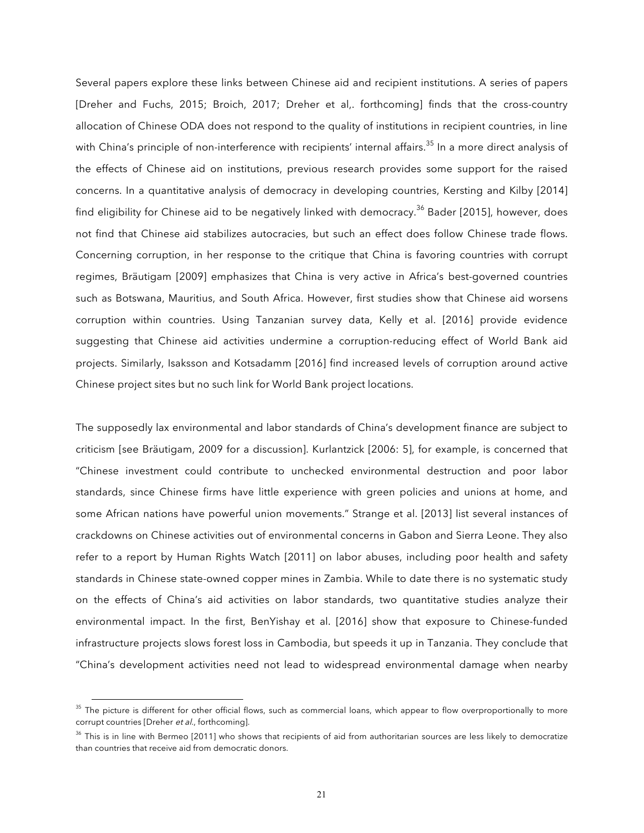Several papers explore these links between Chinese aid and recipient institutions. A series of papers [Dreher and Fuchs, 2015; Broich, 2017; Dreher et al,. forthcoming] finds that the cross-country allocation of Chinese ODA does not respond to the quality of institutions in recipient countries, in line with China's principle of non-interference with recipients' internal affairs.<sup>35</sup> In a more direct analysis of the effects of Chinese aid on institutions, previous research provides some support for the raised concerns. In a quantitative analysis of democracy in developing countries, Kersting and Kilby [2014] find eligibility for Chinese aid to be negatively linked with democracy.<sup>36</sup> Bader [2015], however, does not find that Chinese aid stabilizes autocracies, but such an effect does follow Chinese trade flows. Concerning corruption, in her response to the critique that China is favoring countries with corrupt regimes, Bräutigam [2009] emphasizes that China is very active in Africa's best-governed countries such as Botswana, Mauritius, and South Africa. However, first studies show that Chinese aid worsens corruption within countries. Using Tanzanian survey data, Kelly et al. [2016] provide evidence suggesting that Chinese aid activities undermine a corruption-reducing effect of World Bank aid projects. Similarly, Isaksson and Kotsadamm [2016] find increased levels of corruption around active Chinese project sites but no such link for World Bank project locations.

The supposedly lax environmental and labor standards of China's development finance are subject to criticism [see Bräutigam, 2009 for a discussion]. Kurlantzick [2006: 5], for example, is concerned that "Chinese investment could contribute to unchecked environmental destruction and poor labor standards, since Chinese firms have little experience with green policies and unions at home, and some African nations have powerful union movements." Strange et al. [2013] list several instances of crackdowns on Chinese activities out of environmental concerns in Gabon and Sierra Leone. They also refer to a report by Human Rights Watch [2011] on labor abuses, including poor health and safety standards in Chinese state-owned copper mines in Zambia. While to date there is no systematic study on the effects of China's aid activities on labor standards, two quantitative studies analyze their environmental impact. In the first, BenYishay et al. [2016] show that exposure to Chinese-funded infrastructure projects slows forest loss in Cambodia, but speeds it up in Tanzania. They conclude that "China's development activities need not lead to widespread environmental damage when nearby

 $\overline{a}$ 

<sup>&</sup>lt;sup>35</sup> The picture is different for other official flows, such as commercial loans, which appear to flow overproportionally to more corrupt countries [Dreher et al., forthcoming].

<sup>&</sup>lt;sup>36</sup> This is in line with Bermeo [2011] who shows that recipients of aid from authoritarian sources are less likely to democratize than countries that receive aid from democratic donors.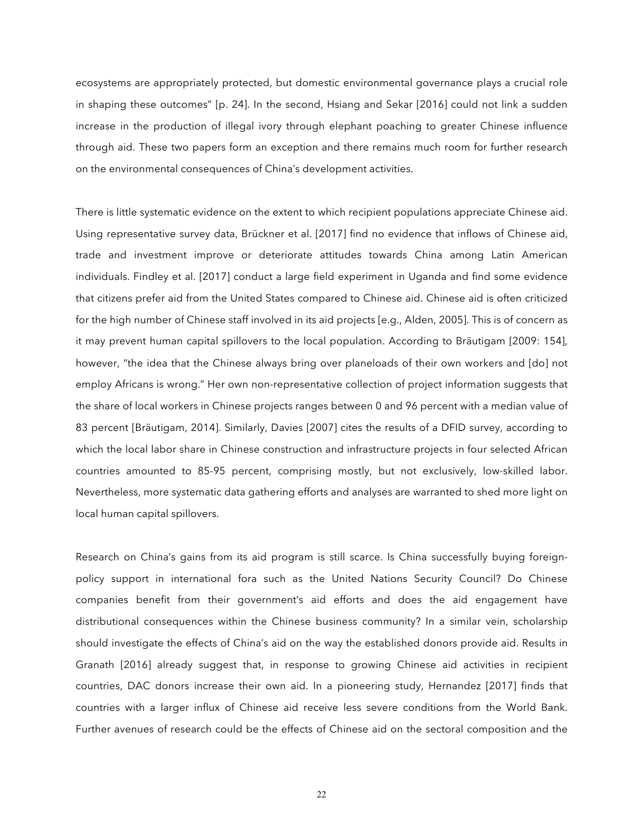ecosystems are appropriately protected, but domestic environmental governance plays a crucial role in shaping these outcomes" [p. 24]. In the second, Hsiang and Sekar [2016] could not link a sudden increase in the production of illegal ivory through elephant poaching to greater Chinese influence through aid. These two papers form an exception and there remains much room for further research on the environmental consequences of China's development activities.

There is little systematic evidence on the extent to which recipient populations appreciate Chinese aid. Using representative survey data, Brückner et al. [2017] find no evidence that inflows of Chinese aid, trade and investment improve or deteriorate attitudes towards China among Latin American individuals. Findley et al. [2017] conduct a large field experiment in Uganda and find some evidence that citizens prefer aid from the United States compared to Chinese aid. Chinese aid is often criticized for the high number of Chinese staff involved in its aid projects [e.g., Alden, 2005]. This is of concern as it may prevent human capital spillovers to the local population. According to Bräutigam [2009: 154], however, "the idea that the Chinese always bring over planeloads of their own workers and [do] not employ Africans is wrong." Her own non-representative collection of project information suggests that the share of local workers in Chinese projects ranges between 0 and 96 percent with a median value of 83 percent [Bräutigam, 2014]. Similarly, Davies [2007] cites the results of a DFID survey, according to which the local labor share in Chinese construction and infrastructure projects in four selected African countries amounted to 85-95 percent, comprising mostly, but not exclusively, low-skilled labor. Nevertheless, more systematic data gathering efforts and analyses are warranted to shed more light on local human capital spillovers.

Research on China's gains from its aid program is still scarce. Is China successfully buying foreignpolicy support in international fora such as the United Nations Security Council? Do Chinese companies benefit from their government's aid efforts and does the aid engagement have distributional consequences within the Chinese business community? In a similar vein, scholarship should investigate the effects of China's aid on the way the established donors provide aid. Results in Granath [2016] already suggest that, in response to growing Chinese aid activities in recipient countries, DAC donors increase their own aid. In a pioneering study, Hernandez [2017] finds that countries with a larger influx of Chinese aid receive less severe conditions from the World Bank. Further avenues of research could be the effects of Chinese aid on the sectoral composition and the

22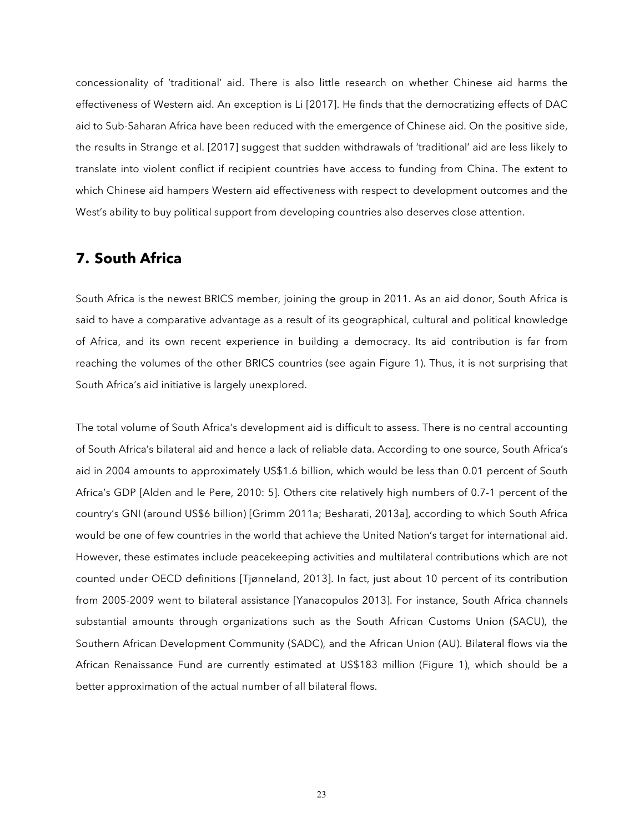concessionality of 'traditional' aid. There is also little research on whether Chinese aid harms the effectiveness of Western aid. An exception is Li [2017]. He finds that the democratizing effects of DAC aid to Sub-Saharan Africa have been reduced with the emergence of Chinese aid. On the positive side, the results in Strange et al. [2017] suggest that sudden withdrawals of 'traditional' aid are less likely to translate into violent conflict if recipient countries have access to funding from China. The extent to which Chinese aid hampers Western aid effectiveness with respect to development outcomes and the West's ability to buy political support from developing countries also deserves close attention.

#### **7. South Africa**

South Africa is the newest BRICS member, joining the group in 2011. As an aid donor, South Africa is said to have a comparative advantage as a result of its geographical, cultural and political knowledge of Africa, and its own recent experience in building a democracy. Its aid contribution is far from reaching the volumes of the other BRICS countries (see again Figure 1). Thus, it is not surprising that South Africa's aid initiative is largely unexplored.

The total volume of South Africa's development aid is difficult to assess. There is no central accounting of South Africa's bilateral aid and hence a lack of reliable data. According to one source, South Africa's aid in 2004 amounts to approximately US\$1.6 billion, which would be less than 0.01 percent of South Africa's GDP [Alden and le Pere, 2010: 5]. Others cite relatively high numbers of 0.7-1 percent of the country's GNI (around US\$6 billion) [Grimm 2011a; Besharati, 2013a], according to which South Africa would be one of few countries in the world that achieve the United Nation's target for international aid. However, these estimates include peacekeeping activities and multilateral contributions which are not counted under OECD definitions [Tjønneland, 2013]. In fact, just about 10 percent of its contribution from 2005-2009 went to bilateral assistance [Yanacopulos 2013]. For instance, South Africa channels substantial amounts through organizations such as the South African Customs Union (SACU), the Southern African Development Community (SADC), and the African Union (AU). Bilateral flows via the African Renaissance Fund are currently estimated at US\$183 million (Figure 1), which should be a better approximation of the actual number of all bilateral flows.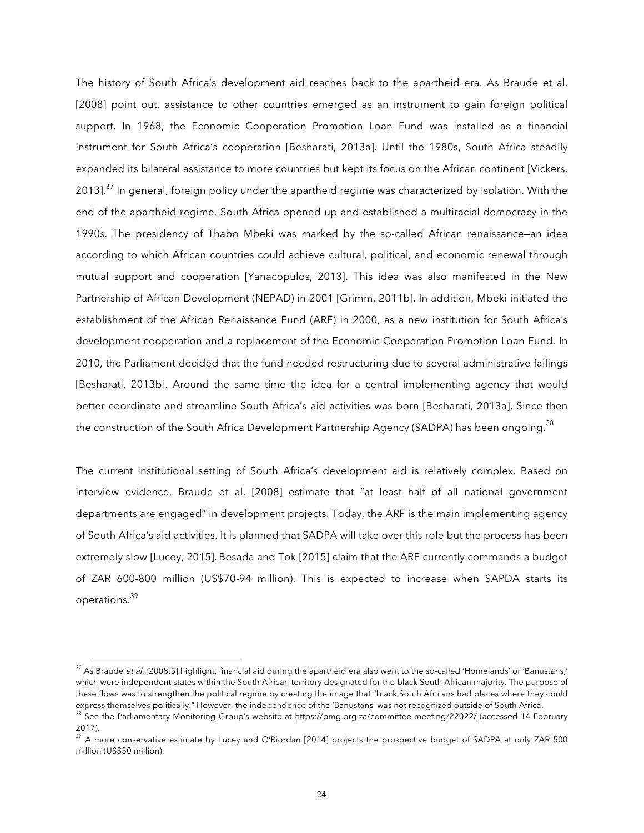The history of South Africa's development aid reaches back to the apartheid era. As Braude et al. [2008] point out, assistance to other countries emerged as an instrument to gain foreign political support. In 1968, the Economic Cooperation Promotion Loan Fund was installed as a financial instrument for South Africa's cooperation [Besharati, 2013a]. Until the 1980s, South Africa steadily expanded its bilateral assistance to more countries but kept its focus on the African continent [Vickers, 2013].<sup>37</sup> In general, foreign policy under the apartheid regime was characterized by isolation. With the end of the apartheid regime, South Africa opened up and established a multiracial democracy in the 1990s. The presidency of Thabo Mbeki was marked by the so-called African renaissance—an idea according to which African countries could achieve cultural, political, and economic renewal through mutual support and cooperation [Yanacopulos, 2013]. This idea was also manifested in the New Partnership of African Development (NEPAD) in 2001 [Grimm, 2011b]. In addition, Mbeki initiated the establishment of the African Renaissance Fund (ARF) in 2000, as a new institution for South Africa's development cooperation and a replacement of the Economic Cooperation Promotion Loan Fund. In 2010, the Parliament decided that the fund needed restructuring due to several administrative failings [Besharati, 2013b]. Around the same time the idea for a central implementing agency that would better coordinate and streamline South Africa's aid activities was born [Besharati, 2013a]. Since then the construction of the South Africa Development Partnership Agency (SADPA) has been ongoing.<sup>38</sup>

The current institutional setting of South Africa's development aid is relatively complex. Based on interview evidence, Braude et al. [2008] estimate that "at least half of all national government departments are engaged" in development projects. Today, the ARF is the main implementing agency of South Africa's aid activities. It is planned that SADPA will take over this role but the process has been extremely slow [Lucey, 2015]. Besada and Tok [2015] claim that the ARF currently commands a budget of ZAR 600-800 million (US\$70-94 million). This is expected to increase when SAPDA starts its operations.<sup>39</sup>

 $37$  As Braude et al. [2008:5] highlight, financial aid during the apartheid era also went to the so-called 'Homelands' or 'Banustans,' which were independent states within the South African territory designated for the black South African majority. The purpose of these flows was to strengthen the political regime by creating the image that "black South Africans had places where they could express themselves politically." However, the independence of the 'Banustans' was not recognized outside of South Africa. <sup>38</sup> See the Parliamentary Monitoring Group's website at https://pmg.org.za/committee-meeting/22022/ (accessed 14 February 2017).

 $39$  A more conservative estimate by Lucey and O'Riordan [2014] projects the prospective budget of SADPA at only ZAR 500 million (US\$50 million).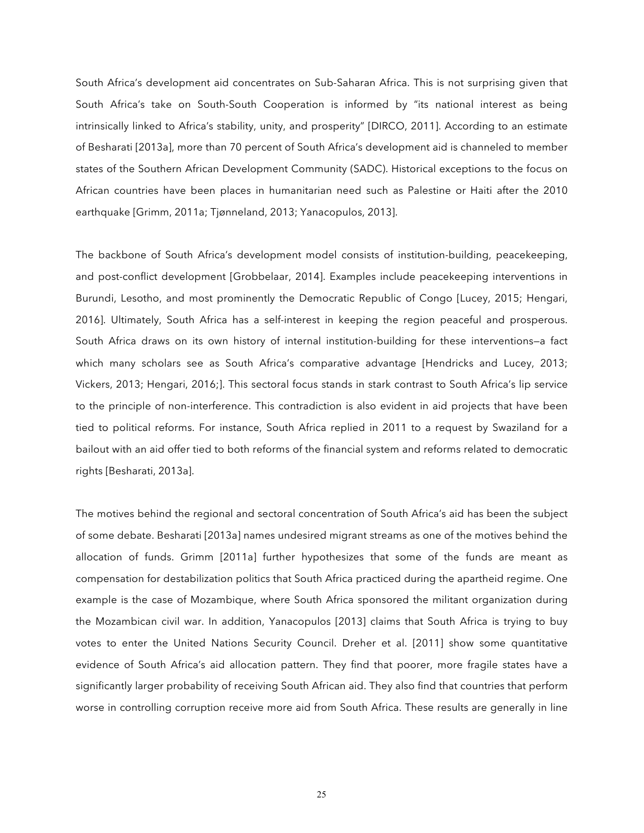South Africa's development aid concentrates on Sub-Saharan Africa. This is not surprising given that South Africa's take on South-South Cooperation is informed by "its national interest as being intrinsically linked to Africa's stability, unity, and prosperity" [DIRCO, 2011]. According to an estimate of Besharati [2013a], more than 70 percent of South Africa's development aid is channeled to member states of the Southern African Development Community (SADC). Historical exceptions to the focus on African countries have been places in humanitarian need such as Palestine or Haiti after the 2010 earthquake [Grimm, 2011a; Tjønneland, 2013; Yanacopulos, 2013].

The backbone of South Africa's development model consists of institution-building, peacekeeping, and post-conflict development [Grobbelaar, 2014]. Examples include peacekeeping interventions in Burundi, Lesotho, and most prominently the Democratic Republic of Congo [Lucey, 2015; Hengari, 2016]. Ultimately, South Africa has a self-interest in keeping the region peaceful and prosperous. South Africa draws on its own history of internal institution-building for these interventions—a fact which many scholars see as South Africa's comparative advantage [Hendricks and Lucey, 2013; Vickers, 2013; Hengari, 2016;]. This sectoral focus stands in stark contrast to South Africa's lip service to the principle of non-interference. This contradiction is also evident in aid projects that have been tied to political reforms. For instance, South Africa replied in 2011 to a request by Swaziland for a bailout with an aid offer tied to both reforms of the financial system and reforms related to democratic rights [Besharati, 2013a].

The motives behind the regional and sectoral concentration of South Africa's aid has been the subject of some debate. Besharati [2013a] names undesired migrant streams as one of the motives behind the allocation of funds. Grimm [2011a] further hypothesizes that some of the funds are meant as compensation for destabilization politics that South Africa practiced during the apartheid regime. One example is the case of Mozambique, where South Africa sponsored the militant organization during the Mozambican civil war. In addition, Yanacopulos [2013] claims that South Africa is trying to buy votes to enter the United Nations Security Council. Dreher et al. [2011] show some quantitative evidence of South Africa's aid allocation pattern. They find that poorer, more fragile states have a significantly larger probability of receiving South African aid. They also find that countries that perform worse in controlling corruption receive more aid from South Africa. These results are generally in line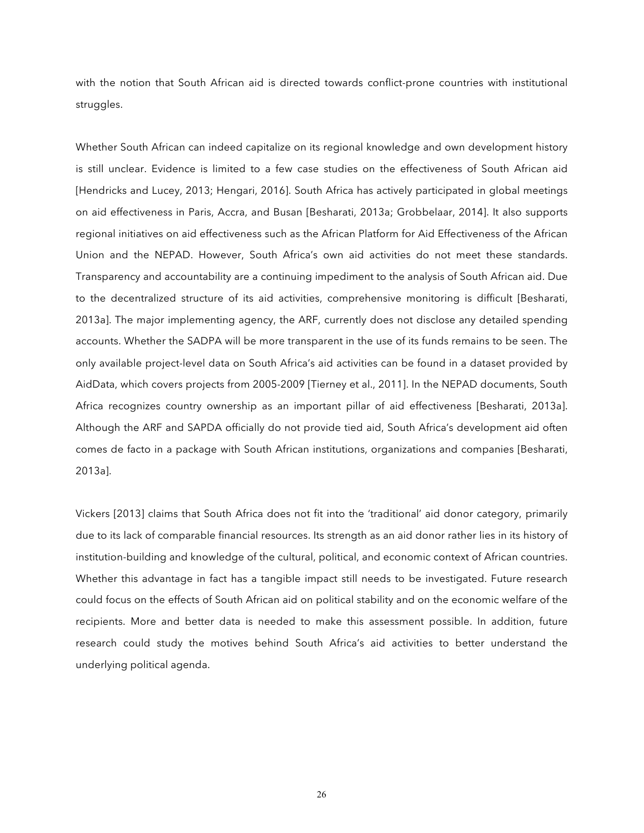with the notion that South African aid is directed towards conflict-prone countries with institutional struggles.

Whether South African can indeed capitalize on its regional knowledge and own development history is still unclear. Evidence is limited to a few case studies on the effectiveness of South African aid [Hendricks and Lucey, 2013; Hengari, 2016]. South Africa has actively participated in global meetings on aid effectiveness in Paris, Accra, and Busan [Besharati, 2013a; Grobbelaar, 2014]. It also supports regional initiatives on aid effectiveness such as the African Platform for Aid Effectiveness of the African Union and the NEPAD. However, South Africa's own aid activities do not meet these standards. Transparency and accountability are a continuing impediment to the analysis of South African aid. Due to the decentralized structure of its aid activities, comprehensive monitoring is difficult [Besharati, 2013a]. The major implementing agency, the ARF, currently does not disclose any detailed spending accounts. Whether the SADPA will be more transparent in the use of its funds remains to be seen. The only available project-level data on South Africa's aid activities can be found in a dataset provided by AidData, which covers projects from 2005-2009 [Tierney et al., 2011]. In the NEPAD documents, South Africa recognizes country ownership as an important pillar of aid effectiveness [Besharati, 2013a]. Although the ARF and SAPDA officially do not provide tied aid, South Africa's development aid often comes de facto in a package with South African institutions, organizations and companies [Besharati, 2013a].

Vickers [2013] claims that South Africa does not fit into the 'traditional' aid donor category, primarily due to its lack of comparable financial resources. Its strength as an aid donor rather lies in its history of institution-building and knowledge of the cultural, political, and economic context of African countries. Whether this advantage in fact has a tangible impact still needs to be investigated. Future research could focus on the effects of South African aid on political stability and on the economic welfare of the recipients. More and better data is needed to make this assessment possible. In addition, future research could study the motives behind South Africa's aid activities to better understand the underlying political agenda.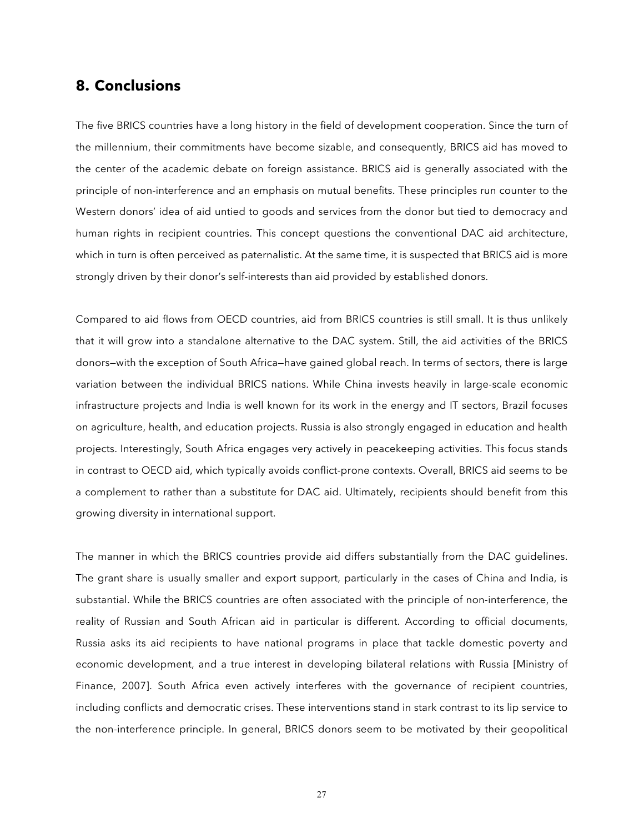#### **8. Conclusions**

The five BRICS countries have a long history in the field of development cooperation. Since the turn of the millennium, their commitments have become sizable, and consequently, BRICS aid has moved to the center of the academic debate on foreign assistance. BRICS aid is generally associated with the principle of non-interference and an emphasis on mutual benefits. These principles run counter to the Western donors' idea of aid untied to goods and services from the donor but tied to democracy and human rights in recipient countries. This concept questions the conventional DAC aid architecture, which in turn is often perceived as paternalistic. At the same time, it is suspected that BRICS aid is more strongly driven by their donor's self-interests than aid provided by established donors.

Compared to aid flows from OECD countries, aid from BRICS countries is still small. It is thus unlikely that it will grow into a standalone alternative to the DAC system. Still, the aid activities of the BRICS donors—with the exception of South Africa—have gained global reach. In terms of sectors, there is large variation between the individual BRICS nations. While China invests heavily in large-scale economic infrastructure projects and India is well known for its work in the energy and IT sectors, Brazil focuses on agriculture, health, and education projects. Russia is also strongly engaged in education and health projects. Interestingly, South Africa engages very actively in peacekeeping activities. This focus stands in contrast to OECD aid, which typically avoids conflict-prone contexts. Overall, BRICS aid seems to be a complement to rather than a substitute for DAC aid. Ultimately, recipients should benefit from this growing diversity in international support.

The manner in which the BRICS countries provide aid differs substantially from the DAC guidelines. The grant share is usually smaller and export support, particularly in the cases of China and India, is substantial. While the BRICS countries are often associated with the principle of non-interference, the reality of Russian and South African aid in particular is different. According to official documents, Russia asks its aid recipients to have national programs in place that tackle domestic poverty and economic development, and a true interest in developing bilateral relations with Russia [Ministry of Finance, 2007]. South Africa even actively interferes with the governance of recipient countries, including conflicts and democratic crises. These interventions stand in stark contrast to its lip service to the non-interference principle. In general, BRICS donors seem to be motivated by their geopolitical

27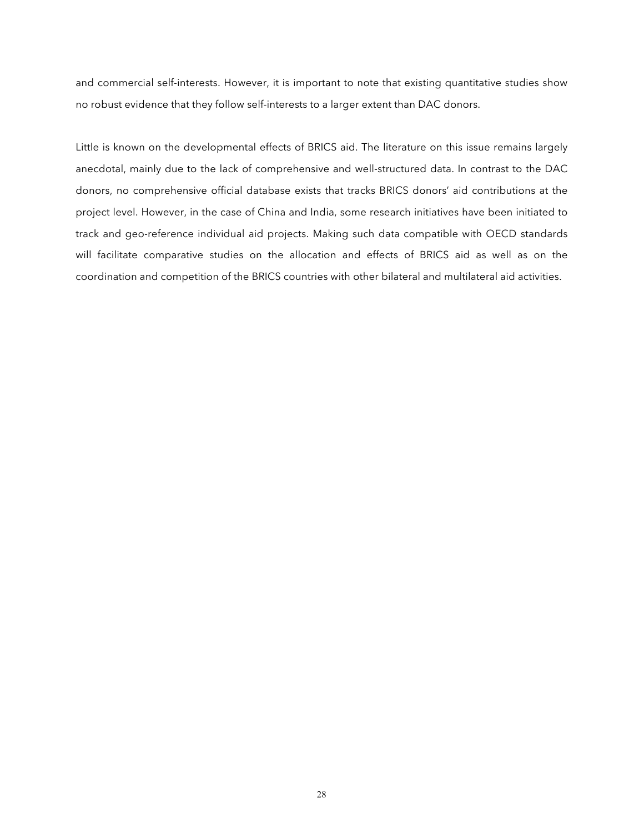and commercial self-interests. However, it is important to note that existing quantitative studies show no robust evidence that they follow self-interests to a larger extent than DAC donors.

Little is known on the developmental effects of BRICS aid. The literature on this issue remains largely anecdotal, mainly due to the lack of comprehensive and well-structured data. In contrast to the DAC donors, no comprehensive official database exists that tracks BRICS donors' aid contributions at the project level. However, in the case of China and India, some research initiatives have been initiated to track and geo-reference individual aid projects. Making such data compatible with OECD standards will facilitate comparative studies on the allocation and effects of BRICS aid as well as on the coordination and competition of the BRICS countries with other bilateral and multilateral aid activities.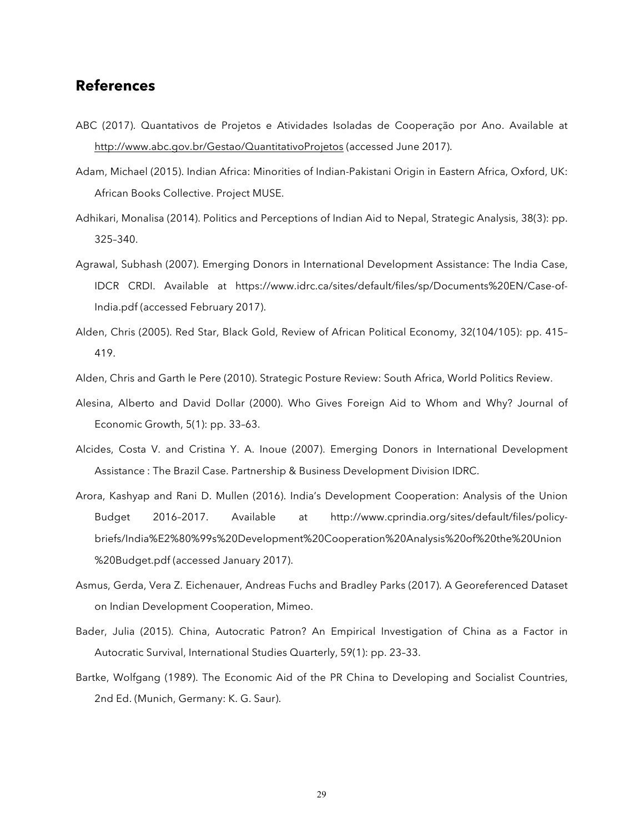#### **References**

- ABC (2017). Quantativos de Projetos e Atividades Isoladas de Cooperação por Ano. Available at http://www.abc.gov.br/Gestao/QuantitativoProjetos (accessed June 2017).
- Adam, Michael (2015). Indian Africa: Minorities of Indian-Pakistani Origin in Eastern Africa, Oxford, UK: African Books Collective. Project MUSE.
- Adhikari, Monalisa (2014). Politics and Perceptions of Indian Aid to Nepal, Strategic Analysis, 38(3): pp. 325–340.
- Agrawal, Subhash (2007). Emerging Donors in International Development Assistance: The India Case, IDCR CRDI. Available at https://www.idrc.ca/sites/default/files/sp/Documents%20EN/Case-of-India.pdf (accessed February 2017).
- Alden, Chris (2005). Red Star, Black Gold, Review of African Political Economy, 32(104/105): pp. 415– 419.

Alden, Chris and Garth le Pere (2010). Strategic Posture Review: South Africa, World Politics Review.

- Alesina, Alberto and David Dollar (2000). Who Gives Foreign Aid to Whom and Why? Journal of Economic Growth, 5(1): pp. 33–63.
- Alcides, Costa V. and Cristina Y. A. Inoue (2007). Emerging Donors in International Development Assistance : The Brazil Case. Partnership & Business Development Division IDRC.
- Arora, Kashyap and Rani D. Mullen (2016). India's Development Cooperation: Analysis of the Union Budget 2016–2017. Available at http://www.cprindia.org/sites/default/files/policybriefs/India%E2%80%99s%20Development%20Cooperation%20Analysis%20of%20the%20Union %20Budget.pdf (accessed January 2017).
- Asmus, Gerda, Vera Z. Eichenauer, Andreas Fuchs and Bradley Parks (2017). A Georeferenced Dataset on Indian Development Cooperation, Mimeo.
- Bader, Julia (2015). China, Autocratic Patron? An Empirical Investigation of China as a Factor in Autocratic Survival, International Studies Quarterly, 59(1): pp. 23–33.
- Bartke, Wolfgang (1989). The Economic Aid of the PR China to Developing and Socialist Countries, 2nd Ed. (Munich, Germany: K. G. Saur).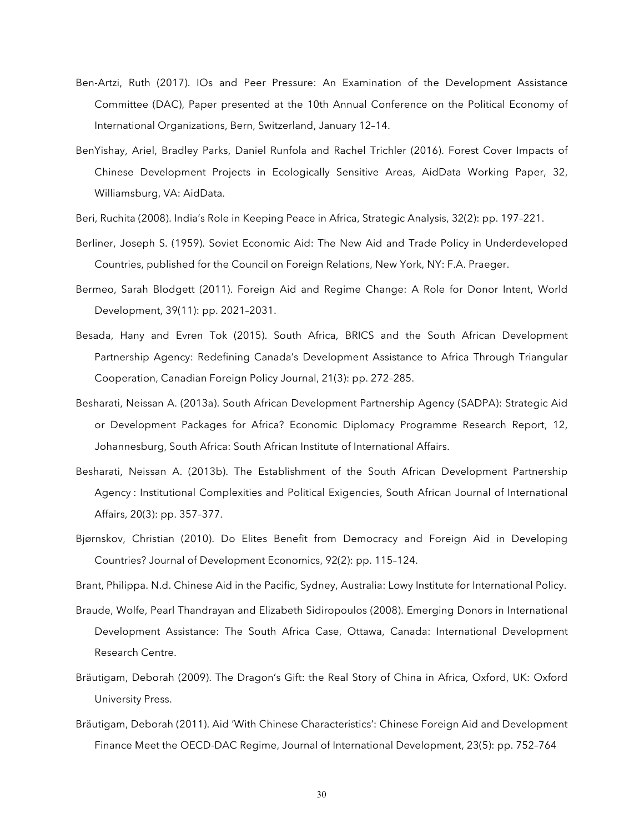- Ben-Artzi, Ruth (2017). IOs and Peer Pressure: An Examination of the Development Assistance Committee (DAC), Paper presented at the 10th Annual Conference on the Political Economy of International Organizations, Bern, Switzerland, January 12–14.
- BenYishay, Ariel, Bradley Parks, Daniel Runfola and Rachel Trichler (2016). Forest Cover Impacts of Chinese Development Projects in Ecologically Sensitive Areas, AidData Working Paper, 32, Williamsburg, VA: AidData.
- Beri, Ruchita (2008). India's Role in Keeping Peace in Africa, Strategic Analysis, 32(2): pp. 197–221.
- Berliner, Joseph S. (1959). Soviet Economic Aid: The New Aid and Trade Policy in Underdeveloped Countries, published for the Council on Foreign Relations, New York, NY: F.A. Praeger.
- Bermeo, Sarah Blodgett (2011). Foreign Aid and Regime Change: A Role for Donor Intent, World Development, 39(11): pp. 2021–2031.
- Besada, Hany and Evren Tok (2015). South Africa, BRICS and the South African Development Partnership Agency: Redefining Canada's Development Assistance to Africa Through Triangular Cooperation, Canadian Foreign Policy Journal, 21(3): pp. 272–285.
- Besharati, Neissan A. (2013a). South African Development Partnership Agency (SADPA): Strategic Aid or Development Packages for Africa? Economic Diplomacy Programme Research Report, 12, Johannesburg, South Africa: South African Institute of International Affairs.
- Besharati, Neissan A. (2013b). The Establishment of the South African Development Partnership Agency : Institutional Complexities and Political Exigencies, South African Journal of International Affairs, 20(3): pp. 357–377.
- Bjørnskov, Christian (2010). Do Elites Benefit from Democracy and Foreign Aid in Developing Countries? Journal of Development Economics, 92(2): pp. 115–124.

Brant, Philippa. N.d. Chinese Aid in the Pacific, Sydney, Australia: Lowy Institute for International Policy.

- Braude, Wolfe, Pearl Thandrayan and Elizabeth Sidiropoulos (2008). Emerging Donors in International Development Assistance: The South Africa Case, Ottawa, Canada: International Development Research Centre.
- Bräutigam, Deborah (2009). The Dragon's Gift: the Real Story of China in Africa, Oxford, UK: Oxford University Press.
- Bräutigam, Deborah (2011). Aid 'With Chinese Characteristics': Chinese Foreign Aid and Development Finance Meet the OECD-DAC Regime, Journal of International Development, 23(5): pp. 752–764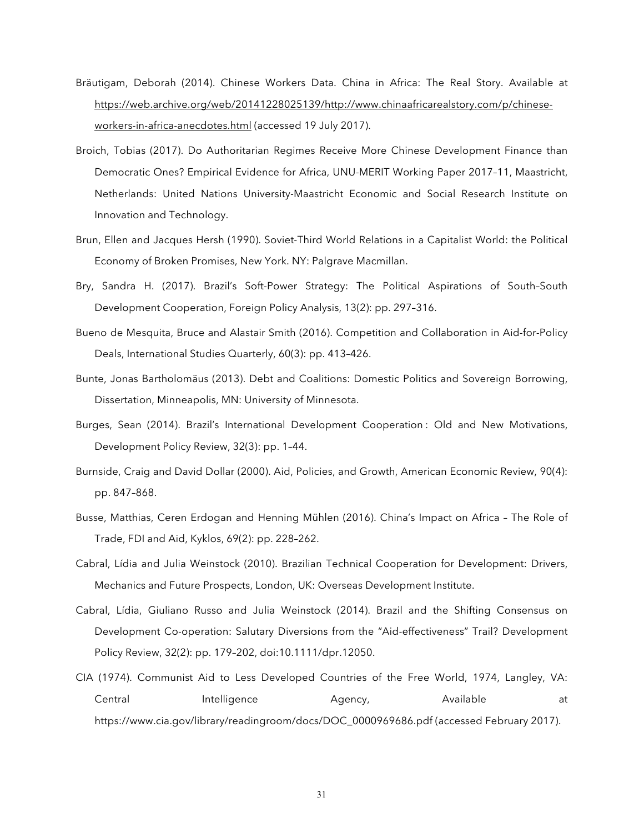- Bräutigam, Deborah (2014). Chinese Workers Data. China in Africa: The Real Story. Available at https://web.archive.org/web/20141228025139/http://www.chinaafricarealstory.com/p/chineseworkers-in-africa-anecdotes.html (accessed 19 July 2017).
- Broich, Tobias (2017). Do Authoritarian Regimes Receive More Chinese Development Finance than Democratic Ones? Empirical Evidence for Africa, UNU-MERIT Working Paper 2017–11, Maastricht, Netherlands: United Nations University-Maastricht Economic and Social Research Institute on Innovation and Technology.
- Brun, Ellen and Jacques Hersh (1990). Soviet-Third World Relations in a Capitalist World: the Political Economy of Broken Promises, New York. NY: Palgrave Macmillan.
- Bry, Sandra H. (2017). Brazil's Soft-Power Strategy: The Political Aspirations of South–South Development Cooperation, Foreign Policy Analysis, 13(2): pp. 297–316.
- Bueno de Mesquita, Bruce and Alastair Smith (2016). Competition and Collaboration in Aid-for-Policy Deals, International Studies Quarterly, 60(3): pp. 413–426.
- Bunte, Jonas Bartholomäus (2013). Debt and Coalitions: Domestic Politics and Sovereign Borrowing, Dissertation, Minneapolis, MN: University of Minnesota.
- Burges, Sean (2014). Brazil's International Development Cooperation : Old and New Motivations, Development Policy Review, 32(3): pp. 1–44.
- Burnside, Craig and David Dollar (2000). Aid, Policies, and Growth, American Economic Review, 90(4): pp. 847–868.
- Busse, Matthias, Ceren Erdogan and Henning Mühlen (2016). China's Impact on Africa The Role of Trade, FDI and Aid, Kyklos, 69(2): pp. 228–262.
- Cabral, Lídia and Julia Weinstock (2010). Brazilian Technical Cooperation for Development: Drivers, Mechanics and Future Prospects, London, UK: Overseas Development Institute.
- Cabral, Lídia, Giuliano Russo and Julia Weinstock (2014). Brazil and the Shifting Consensus on Development Co-operation: Salutary Diversions from the "Aid-effectiveness" Trail? Development Policy Review, 32(2): pp. 179–202, doi:10.1111/dpr.12050.
- CIA (1974). Communist Aid to Less Developed Countries of the Free World, 1974, Langley, VA: Central Intelligence Agency, Available at https://www.cia.gov/library/readingroom/docs/DOC\_0000969686.pdf (accessed February 2017).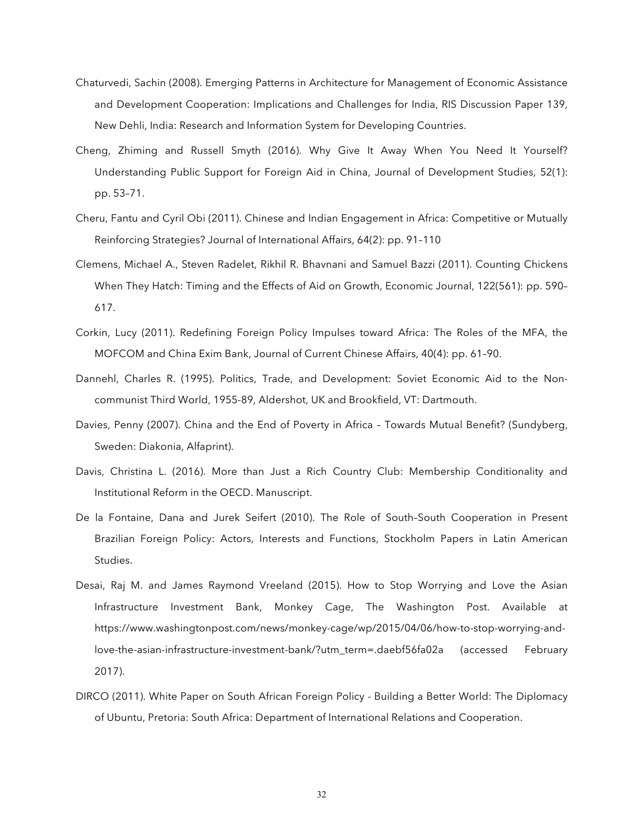- Chaturvedi, Sachin (2008). Emerging Patterns in Architecture for Management of Economic Assistance and Development Cooperation: Implications and Challenges for India, RIS Discussion Paper 139, New Dehli, India: Research and Information System for Developing Countries.
- Cheng, Zhiming and Russell Smyth (2016). Why Give It Away When You Need It Yourself? Understanding Public Support for Foreign Aid in China, Journal of Development Studies, 52(1): pp. 53–71.
- Cheru, Fantu and Cyril Obi (2011). Chinese and Indian Engagement in Africa: Competitive or Mutually Reinforcing Strategies? Journal of International Affairs, 64(2): pp. 91–110
- Clemens, Michael A., Steven Radelet, Rikhil R. Bhavnani and Samuel Bazzi (2011). Counting Chickens When They Hatch: Timing and the Effects of Aid on Growth, Economic Journal, 122(561): pp. 590– 617.
- Corkin, Lucy (2011). Redefining Foreign Policy Impulses toward Africa: The Roles of the MFA, the MOFCOM and China Exim Bank, Journal of Current Chinese Affairs, 40(4): pp. 61–90.
- Dannehl, Charles R. (1995). Politics, Trade, and Development: Soviet Economic Aid to the Noncommunist Third World, 1955-89, Aldershot, UK and Brookfield, VT: Dartmouth.
- Davies, Penny (2007). China and the End of Poverty in Africa Towards Mutual Benefit? (Sundyberg, Sweden: Diakonia, Alfaprint).
- Davis, Christina L. (2016). More than Just a Rich Country Club: Membership Conditionality and Institutional Reform in the OECD. Manuscript.
- De la Fontaine, Dana and Jurek Seifert (2010). The Role of South–South Cooperation in Present Brazilian Foreign Policy: Actors, Interests and Functions, Stockholm Papers in Latin American Studies.
- Desai, Raj M. and James Raymond Vreeland (2015). How to Stop Worrying and Love the Asian Infrastructure Investment Bank, Monkey Cage, The Washington Post. Available at https://www.washingtonpost.com/news/monkey-cage/wp/2015/04/06/how-to-stop-worrying-andlove-the-asian-infrastructure-investment-bank/?utm\_term=.daebf56fa02a (accessed February 2017).
- DIRCO (2011). White Paper on South African Foreign Policy Building a Better World: The Diplomacy of Ubuntu, Pretoria: South Africa: Department of International Relations and Cooperation.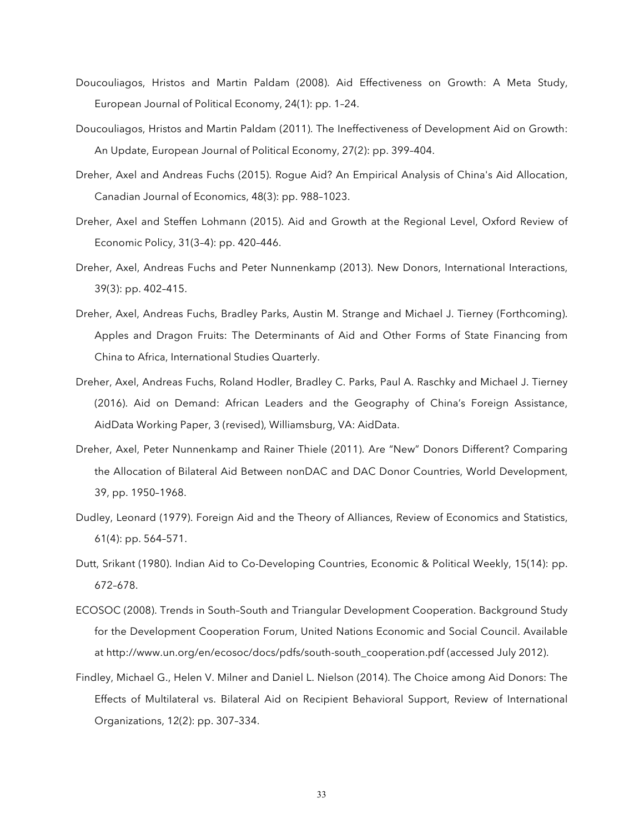- Doucouliagos, Hristos and Martin Paldam (2008). Aid Effectiveness on Growth: A Meta Study, European Journal of Political Economy, 24(1): pp. 1–24.
- Doucouliagos, Hristos and Martin Paldam (2011). The Ineffectiveness of Development Aid on Growth: An Update, European Journal of Political Economy, 27(2): pp. 399–404.
- Dreher, Axel and Andreas Fuchs (2015). Rogue Aid? An Empirical Analysis of China's Aid Allocation, Canadian Journal of Economics, 48(3): pp. 988–1023.
- Dreher, Axel and Steffen Lohmann (2015). Aid and Growth at the Regional Level, Oxford Review of Economic Policy, 31(3–4): pp. 420–446.
- Dreher, Axel, Andreas Fuchs and Peter Nunnenkamp (2013). New Donors, International Interactions, 39(3): pp. 402–415.
- Dreher, Axel, Andreas Fuchs, Bradley Parks, Austin M. Strange and Michael J. Tierney (Forthcoming). Apples and Dragon Fruits: The Determinants of Aid and Other Forms of State Financing from China to Africa, International Studies Quarterly.
- Dreher, Axel, Andreas Fuchs, Roland Hodler, Bradley C. Parks, Paul A. Raschky and Michael J. Tierney (2016). Aid on Demand: African Leaders and the Geography of China's Foreign Assistance, AidData Working Paper, 3 (revised), Williamsburg, VA: AidData.
- Dreher, Axel, Peter Nunnenkamp and Rainer Thiele (2011). Are "New" Donors Different? Comparing the Allocation of Bilateral Aid Between nonDAC and DAC Donor Countries, World Development, 39, pp. 1950–1968.
- Dudley, Leonard (1979). Foreign Aid and the Theory of Alliances, Review of Economics and Statistics, 61(4): pp. 564–571.
- Dutt, Srikant (1980). Indian Aid to Co-Developing Countries, Economic & Political Weekly, 15(14): pp. 672–678.
- ECOSOC (2008). Trends in South–South and Triangular Development Cooperation. Background Study for the Development Cooperation Forum, United Nations Economic and Social Council. Available at http://www.un.org/en/ecosoc/docs/pdfs/south-south\_cooperation.pdf (accessed July 2012).
- Findley, Michael G., Helen V. Milner and Daniel L. Nielson (2014). The Choice among Aid Donors: The Effects of Multilateral vs. Bilateral Aid on Recipient Behavioral Support, Review of International Organizations, 12(2): pp. 307–334.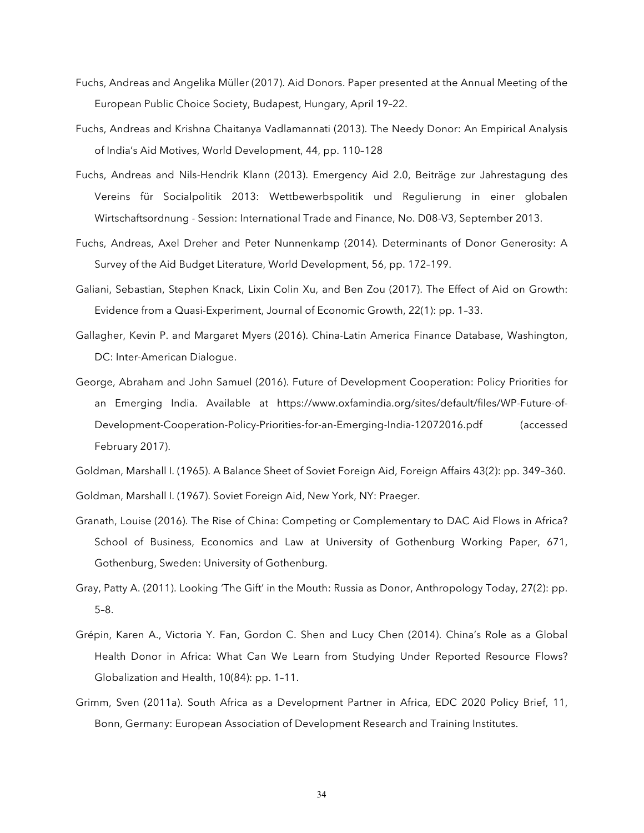- Fuchs, Andreas and Angelika Müller (2017). Aid Donors. Paper presented at the Annual Meeting of the European Public Choice Society, Budapest, Hungary, April 19–22.
- Fuchs, Andreas and Krishna Chaitanya Vadlamannati (2013). The Needy Donor: An Empirical Analysis of India's Aid Motives, World Development, 44, pp. 110–128
- Fuchs, Andreas and Nils-Hendrik Klann (2013). Emergency Aid 2.0, Beiträge zur Jahrestagung des Vereins für Socialpolitik 2013: Wettbewerbspolitik und Regulierung in einer globalen Wirtschaftsordnung - Session: International Trade and Finance, No. D08-V3, September 2013.
- Fuchs, Andreas, Axel Dreher and Peter Nunnenkamp (2014). Determinants of Donor Generosity: A Survey of the Aid Budget Literature, World Development, 56, pp. 172–199.
- Galiani, Sebastian, Stephen Knack, Lixin Colin Xu, and Ben Zou (2017). The Effect of Aid on Growth: Evidence from a Quasi-Experiment, Journal of Economic Growth, 22(1): pp. 1–33.
- Gallagher, Kevin P. and Margaret Myers (2016). China-Latin America Finance Database, Washington, DC: Inter-American Dialogue.
- George, Abraham and John Samuel (2016). Future of Development Cooperation: Policy Priorities for an Emerging India. Available at https://www.oxfamindia.org/sites/default/files/WP-Future-of-Development-Cooperation-Policy-Priorities-for-an-Emerging-India-12072016.pdf (accessed February 2017).

Goldman, Marshall I. (1965). A Balance Sheet of Soviet Foreign Aid, Foreign Affairs 43(2): pp. 349–360.

Goldman, Marshall I. (1967). Soviet Foreign Aid, New York, NY: Praeger.

- Granath, Louise (2016). The Rise of China: Competing or Complementary to DAC Aid Flows in Africa? School of Business, Economics and Law at University of Gothenburg Working Paper, 671, Gothenburg, Sweden: University of Gothenburg.
- Gray, Patty A. (2011). Looking 'The Gift' in the Mouth: Russia as Donor, Anthropology Today, 27(2): pp. 5–8.
- Grépin, Karen A., Victoria Y. Fan, Gordon C. Shen and Lucy Chen (2014). China's Role as a Global Health Donor in Africa: What Can We Learn from Studying Under Reported Resource Flows? Globalization and Health, 10(84): pp. 1–11.
- Grimm, Sven (2011a). South Africa as a Development Partner in Africa, EDC 2020 Policy Brief, 11, Bonn, Germany: European Association of Development Research and Training Institutes.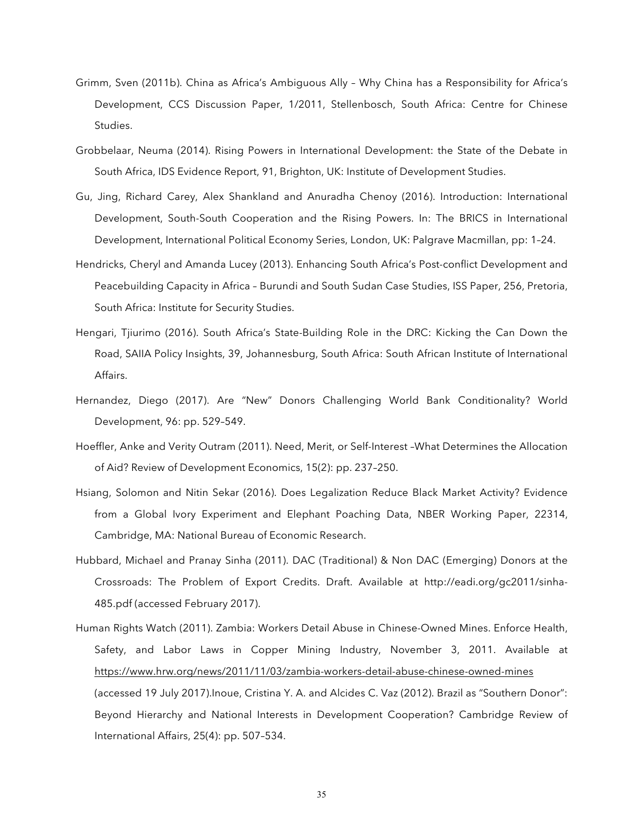- Grimm, Sven (2011b). China as Africa's Ambiguous Ally Why China has a Responsibility for Africa's Development, CCS Discussion Paper, 1/2011, Stellenbosch, South Africa: Centre for Chinese Studies.
- Grobbelaar, Neuma (2014). Rising Powers in International Development: the State of the Debate in South Africa, IDS Evidence Report, 91, Brighton, UK: Institute of Development Studies.
- Gu, Jing, Richard Carey, Alex Shankland and Anuradha Chenoy (2016). Introduction: International Development, South-South Cooperation and the Rising Powers. In: The BRICS in International Development, International Political Economy Series, London, UK: Palgrave Macmillan, pp: 1–24.
- Hendricks, Cheryl and Amanda Lucey (2013). Enhancing South Africa's Post-conflict Development and Peacebuilding Capacity in Africa – Burundi and South Sudan Case Studies, ISS Paper, 256, Pretoria, South Africa: Institute for Security Studies.
- Hengari, Tjiurimo (2016). South Africa's State-Building Role in the DRC: Kicking the Can Down the Road, SAIIA Policy Insights, 39, Johannesburg, South Africa: South African Institute of International Affairs.
- Hernandez, Diego (2017). Are "New" Donors Challenging World Bank Conditionality? World Development, 96: pp. 529–549.
- Hoeffler, Anke and Verity Outram (2011). Need, Merit, or Self-Interest –What Determines the Allocation of Aid? Review of Development Economics, 15(2): pp. 237–250.
- Hsiang, Solomon and Nitin Sekar (2016). Does Legalization Reduce Black Market Activity? Evidence from a Global Ivory Experiment and Elephant Poaching Data, NBER Working Paper, 22314, Cambridge, MA: National Bureau of Economic Research.
- Hubbard, Michael and Pranay Sinha (2011). DAC (Traditional) & Non DAC (Emerging) Donors at the Crossroads: The Problem of Export Credits. Draft. Available at http://eadi.org/gc2011/sinha-485.pdf (accessed February 2017).
- Human Rights Watch (2011). Zambia: Workers Detail Abuse in Chinese-Owned Mines. Enforce Health, Safety, and Labor Laws in Copper Mining Industry, November 3, 2011. Available at https://www.hrw.org/news/2011/11/03/zambia-workers-detail-abuse-chinese-owned-mines (accessed 19 July 2017).Inoue, Cristina Y. A. and Alcides C. Vaz (2012). Brazil as "Southern Donor": Beyond Hierarchy and National Interests in Development Cooperation? Cambridge Review of International Affairs, 25(4): pp. 507–534.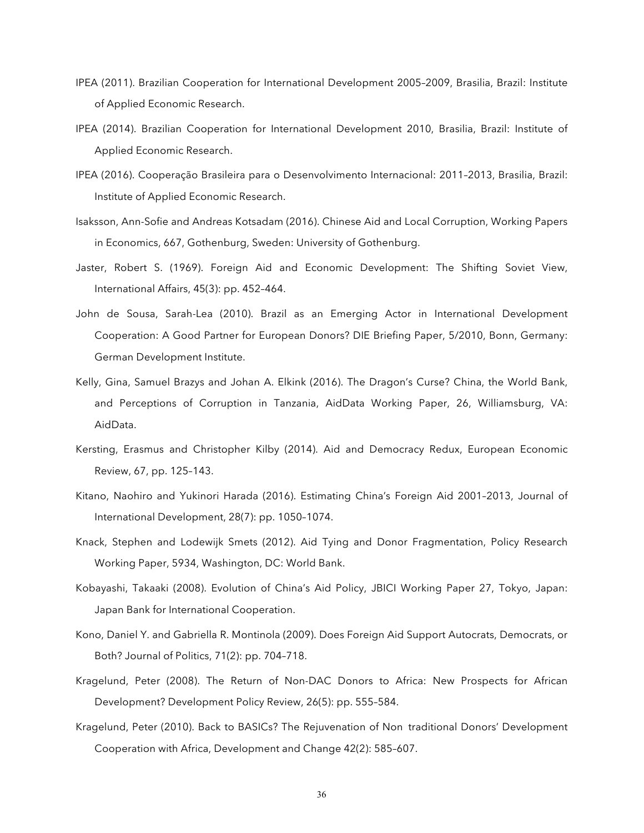- IPEA (2011). Brazilian Cooperation for International Development 2005–2009, Brasilia, Brazil: Institute of Applied Economic Research.
- IPEA (2014). Brazilian Cooperation for International Development 2010, Brasilia, Brazil: Institute of Applied Economic Research.
- IPEA (2016). Cooperação Brasileira para o Desenvolvimento Internacional: 2011–2013, Brasilia, Brazil: Institute of Applied Economic Research.
- Isaksson, Ann-Sofie and Andreas Kotsadam (2016). Chinese Aid and Local Corruption, Working Papers in Economics, 667, Gothenburg, Sweden: University of Gothenburg.
- Jaster, Robert S. (1969). Foreign Aid and Economic Development: The Shifting Soviet View, International Affairs, 45(3): pp. 452–464.
- John de Sousa, Sarah-Lea (2010). Brazil as an Emerging Actor in International Development Cooperation: A Good Partner for European Donors? DIE Briefing Paper, 5/2010, Bonn, Germany: German Development Institute.
- Kelly, Gina, Samuel Brazys and Johan A. Elkink (2016). The Dragon's Curse? China, the World Bank, and Perceptions of Corruption in Tanzania, AidData Working Paper, 26, Williamsburg, VA: AidData.
- Kersting, Erasmus and Christopher Kilby (2014). Aid and Democracy Redux, European Economic Review, 67, pp. 125–143.
- Kitano, Naohiro and Yukinori Harada (2016). Estimating China's Foreign Aid 2001–2013, Journal of International Development, 28(7): pp. 1050–1074.
- Knack, Stephen and Lodewijk Smets (2012). Aid Tying and Donor Fragmentation, Policy Research Working Paper, 5934, Washington, DC: World Bank.
- Kobayashi, Takaaki (2008). Evolution of China's Aid Policy, JBICI Working Paper 27, Tokyo, Japan: Japan Bank for International Cooperation.
- Kono, Daniel Y. and Gabriella R. Montinola (2009). Does Foreign Aid Support Autocrats, Democrats, or Both? Journal of Politics, 71(2): pp. 704–718.
- Kragelund, Peter (2008). The Return of Non-DAC Donors to Africa: New Prospects for African Development? Development Policy Review, 26(5): pp. 555–584.
- Kragelund, Peter (2010). Back to BASICs? The Rejuvenation of Non traditional Donors' Development Cooperation with Africa, Development and Change 42(2): 585–607.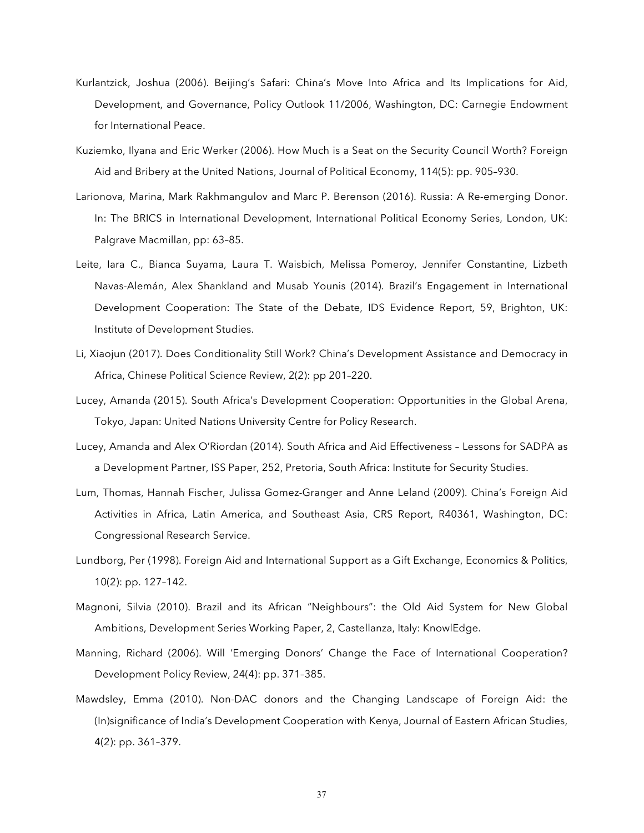- Kurlantzick, Joshua (2006). Beijing's Safari: China's Move Into Africa and Its Implications for Aid, Development, and Governance, Policy Outlook 11/2006, Washington, DC: Carnegie Endowment for International Peace.
- Kuziemko, Ilyana and Eric Werker (2006). How Much is a Seat on the Security Council Worth? Foreign Aid and Bribery at the United Nations, Journal of Political Economy, 114(5): pp. 905–930.
- Larionova, Marina, Mark Rakhmangulov and Marc P. Berenson (2016). Russia: A Re-emerging Donor. In: The BRICS in International Development, International Political Economy Series, London, UK: Palgrave Macmillan, pp: 63–85.
- Leite, Iara C., Bianca Suyama, Laura T. Waisbich, Melissa Pomeroy, Jennifer Constantine, Lizbeth Navas-Alemán, Alex Shankland and Musab Younis (2014). Brazil's Engagement in International Development Cooperation: The State of the Debate, IDS Evidence Report, 59, Brighton, UK: Institute of Development Studies.
- Li, Xiaojun (2017). Does Conditionality Still Work? China's Development Assistance and Democracy in Africa, Chinese Political Science Review, 2(2): pp 201–220.
- Lucey, Amanda (2015). South Africa's Development Cooperation: Opportunities in the Global Arena, Tokyo, Japan: United Nations University Centre for Policy Research.
- Lucey, Amanda and Alex O'Riordan (2014). South Africa and Aid Effectiveness Lessons for SADPA as a Development Partner, ISS Paper, 252, Pretoria, South Africa: Institute for Security Studies.
- Lum, Thomas, Hannah Fischer, Julissa Gomez-Granger and Anne Leland (2009). China's Foreign Aid Activities in Africa, Latin America, and Southeast Asia, CRS Report, R40361, Washington, DC: Congressional Research Service.
- Lundborg, Per (1998). Foreign Aid and International Support as a Gift Exchange, Economics & Politics, 10(2): pp. 127–142.
- Magnoni, Silvia (2010). Brazil and its African "Neighbours": the Old Aid System for New Global Ambitions, Development Series Working Paper, 2, Castellanza, Italy: KnowlEdge.
- Manning, Richard (2006). Will 'Emerging Donors' Change the Face of International Cooperation? Development Policy Review, 24(4): pp. 371–385.
- Mawdsley, Emma (2010). Non-DAC donors and the Changing Landscape of Foreign Aid: the (In)significance of India's Development Cooperation with Kenya, Journal of Eastern African Studies, 4(2): pp. 361–379.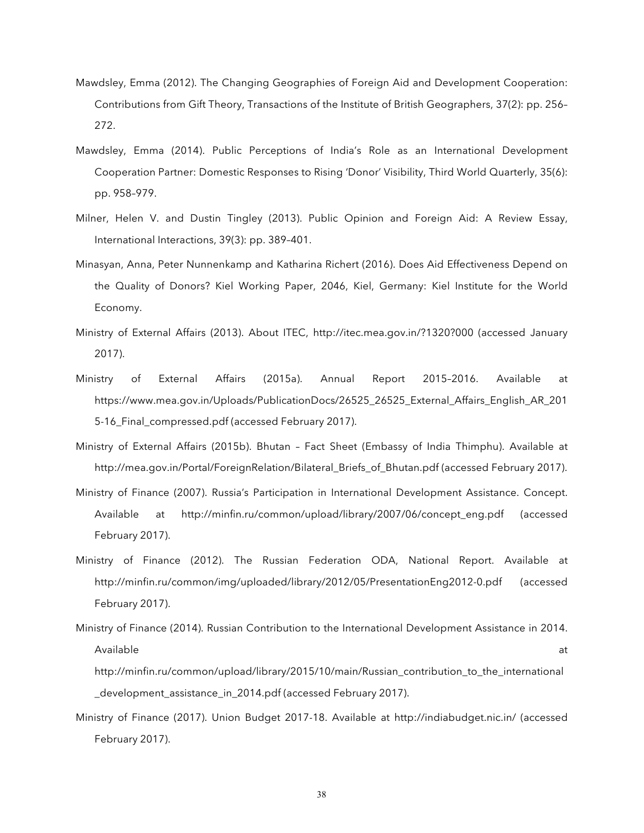- Mawdsley, Emma (2012). The Changing Geographies of Foreign Aid and Development Cooperation: Contributions from Gift Theory, Transactions of the Institute of British Geographers, 37(2): pp. 256– 272.
- Mawdsley, Emma (2014). Public Perceptions of India's Role as an International Development Cooperation Partner: Domestic Responses to Rising 'Donor' Visibility, Third World Quarterly, 35(6): pp. 958–979.
- Milner, Helen V. and Dustin Tingley (2013). Public Opinion and Foreign Aid: A Review Essay, International Interactions, 39(3): pp. 389–401.
- Minasyan, Anna, Peter Nunnenkamp and Katharina Richert (2016). Does Aid Effectiveness Depend on the Quality of Donors? Kiel Working Paper, 2046, Kiel, Germany: Kiel Institute for the World Economy.
- Ministry of External Affairs (2013). About ITEC, http://itec.mea.gov.in/?1320?000 (accessed January 2017).
- Ministry of External Affairs (2015a). Annual Report 2015–2016. Available at https://www.mea.gov.in/Uploads/PublicationDocs/26525\_26525\_External\_Affairs\_English\_AR\_201 5-16\_Final\_compressed.pdf (accessed February 2017).
- Ministry of External Affairs (2015b). Bhutan Fact Sheet (Embassy of India Thimphu). Available at http://mea.gov.in/Portal/ForeignRelation/Bilateral\_Briefs\_of\_Bhutan.pdf (accessed February 2017).
- Ministry of Finance (2007). Russia's Participation in International Development Assistance. Concept. Available at http://minfin.ru/common/upload/library/2007/06/concept\_eng.pdf (accessed February 2017).
- Ministry of Finance (2012). The Russian Federation ODA, National Report. Available at http://minfin.ru/common/img/uploaded/library/2012/05/PresentationEng2012-0.pdf (accessed February 2017).
- Ministry of Finance (2014). Russian Contribution to the International Development Assistance in 2014. Available at the contract of the contract of the contract of the contract of the contract of the contract of the contract of the contract of the contract of the contract of the contract of the contract of the contract of t http://minfin.ru/common/upload/library/2015/10/main/Russian\_contribution\_to\_the\_international \_development\_assistance\_in\_2014.pdf (accessed February 2017).
- Ministry of Finance (2017). Union Budget 2017-18. Available at http://indiabudget.nic.in/ (accessed February 2017).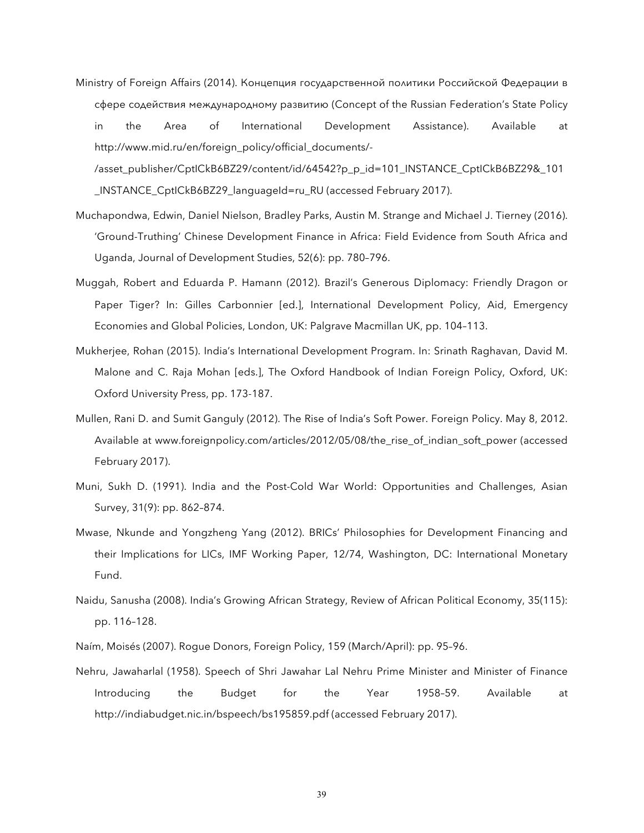Ministry of Foreign Affairs (2014). Концепция государственной политики Российской Федерации в сфере содействия международному развитию (Concept of the Russian Federation's State Policy in the Area of International Development Assistance). Available at http://www.mid.ru/en/foreign\_policy/official\_documents/-

/asset\_publisher/CptICkB6BZ29/content/id/64542?p\_p\_id=101\_INSTANCE\_CptICkB6BZ29&\_101 \_INSTANCE\_CptICkB6BZ29\_languageId=ru\_RU (accessed February 2017).

- Muchapondwa, Edwin, Daniel Nielson, Bradley Parks, Austin M. Strange and Michael J. Tierney (2016). 'Ground-Truthing' Chinese Development Finance in Africa: Field Evidence from South Africa and Uganda, Journal of Development Studies, 52(6): pp. 780–796.
- Muggah, Robert and Eduarda P. Hamann (2012). Brazil's Generous Diplomacy: Friendly Dragon or Paper Tiger? In: Gilles Carbonnier [ed.], International Development Policy, Aid, Emergency Economies and Global Policies, London, UK: Palgrave Macmillan UK, pp. 104–113.
- Mukherjee, Rohan (2015). India's International Development Program. In: Srinath Raghavan, David M. Malone and C. Raja Mohan [eds.], The Oxford Handbook of Indian Foreign Policy, Oxford, UK: Oxford University Press, pp. 173-187.
- Mullen, Rani D. and Sumit Ganguly (2012). The Rise of India's Soft Power. Foreign Policy. May 8, 2012. Available at www.foreignpolicy.com/articles/2012/05/08/the\_rise\_of\_indian\_soft\_power (accessed February 2017).
- Muni, Sukh D. (1991). India and the Post-Cold War World: Opportunities and Challenges, Asian Survey, 31(9): pp. 862–874.
- Mwase, Nkunde and Yongzheng Yang (2012). BRICs' Philosophies for Development Financing and their Implications for LICs, IMF Working Paper, 12/74, Washington, DC: International Monetary Fund.
- Naidu, Sanusha (2008). India's Growing African Strategy, Review of African Political Economy, 35(115): pp. 116–128.
- Naím, Moisés (2007). Rogue Donors, Foreign Policy, 159 (March/April): pp. 95–96.
- Nehru, Jawaharlal (1958). Speech of Shri Jawahar Lal Nehru Prime Minister and Minister of Finance Introducing the Budget for the Year 1958–59. Available at http://indiabudget.nic.in/bspeech/bs195859.pdf (accessed February 2017).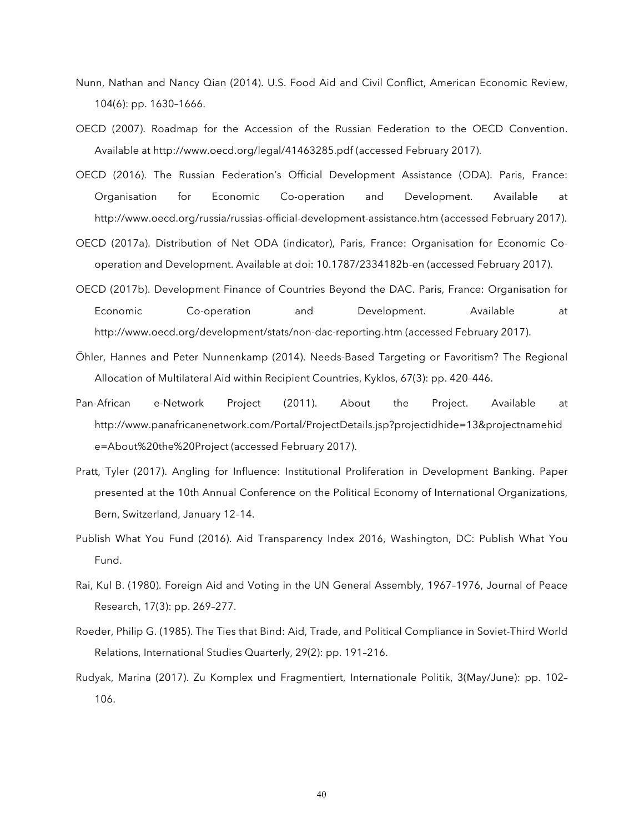- Nunn, Nathan and Nancy Qian (2014). U.S. Food Aid and Civil Conflict, American Economic Review, 104(6): pp. 1630–1666.
- OECD (2007). Roadmap for the Accession of the Russian Federation to the OECD Convention. Available at http://www.oecd.org/legal/41463285.pdf (accessed February 2017).
- OECD (2016). The Russian Federation's Official Development Assistance (ODA). Paris, France: Organisation for Economic Co-operation and Development. Available at http://www.oecd.org/russia/russias-official-development-assistance.htm (accessed February 2017).
- OECD (2017a). Distribution of Net ODA (indicator), Paris, France: Organisation for Economic Cooperation and Development. Available at doi: 10.1787/2334182b-en (accessed February 2017).
- OECD (2017b). Development Finance of Countries Beyond the DAC. Paris, France: Organisation for Economic Co-operation and Development. Available at http://www.oecd.org/development/stats/non-dac-reporting.htm (accessed February 2017).
- Öhler, Hannes and Peter Nunnenkamp (2014). Needs-Based Targeting or Favoritism? The Regional Allocation of Multilateral Aid within Recipient Countries, Kyklos, 67(3): pp. 420–446.
- Pan-African e-Network Project (2011). About the Project. Available at http://www.panafricanenetwork.com/Portal/ProjectDetails.jsp?projectidhide=13&projectnamehid e=About%20the%20Project (accessed February 2017).
- Pratt, Tyler (2017). Angling for Influence: Institutional Proliferation in Development Banking. Paper presented at the 10th Annual Conference on the Political Economy of International Organizations, Bern, Switzerland, January 12–14.
- Publish What You Fund (2016). Aid Transparency Index 2016, Washington, DC: Publish What You Fund.
- Rai, Kul B. (1980). Foreign Aid and Voting in the UN General Assembly, 1967–1976, Journal of Peace Research, 17(3): pp. 269–277.
- Roeder, Philip G. (1985). The Ties that Bind: Aid, Trade, and Political Compliance in Soviet-Third World Relations, International Studies Quarterly, 29(2): pp. 191–216.
- Rudyak, Marina (2017). Zu Komplex und Fragmentiert, Internationale Politik, 3(May/June): pp. 102– 106.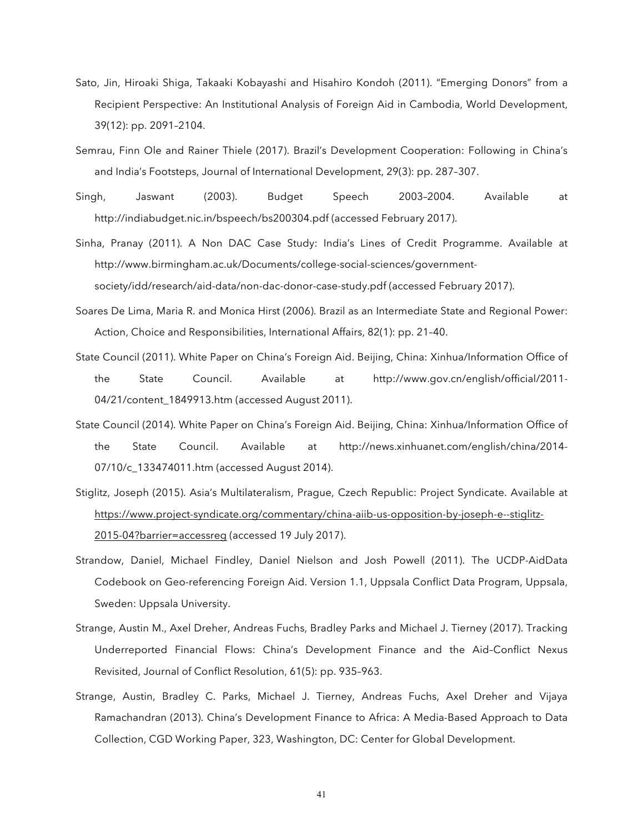- Sato, Jin, Hiroaki Shiga, Takaaki Kobayashi and Hisahiro Kondoh (2011). "Emerging Donors" from a Recipient Perspective: An Institutional Analysis of Foreign Aid in Cambodia, World Development, 39(12): pp. 2091–2104.
- Semrau, Finn Ole and Rainer Thiele (2017). Brazil's Development Cooperation: Following in China's and India's Footsteps, Journal of International Development, 29(3): pp. 287–307.
- Singh, Jaswant (2003). Budget Speech 2003–2004. Available at http://indiabudget.nic.in/bspeech/bs200304.pdf (accessed February 2017).
- Sinha, Pranay (2011). A Non DAC Case Study: India's Lines of Credit Programme. Available at http://www.birmingham.ac.uk/Documents/college-social-sciences/governmentsociety/idd/research/aid-data/non-dac-donor-case-study.pdf (accessed February 2017).
- Soares De Lima, Maria R. and Monica Hirst (2006). Brazil as an Intermediate State and Regional Power: Action, Choice and Responsibilities, International Affairs, 82(1): pp. 21–40.
- State Council (2011). White Paper on China's Foreign Aid. Beijing, China: Xinhua/Information Office of the State Council. Available at http://www.gov.cn/english/official/2011- 04/21/content\_1849913.htm (accessed August 2011).
- State Council (2014). White Paper on China's Foreign Aid. Beijing, China: Xinhua/Information Office of the State Council. Available at http://news.xinhuanet.com/english/china/2014- 07/10/c\_133474011.htm (accessed August 2014).
- Stiglitz, Joseph (2015). Asia's Multilateralism, Prague, Czech Republic: Project Syndicate. Available at https://www.project-syndicate.org/commentary/china-aiib-us-opposition-by-joseph-e--stiglitz-2015-04?barrier=accessreg (accessed 19 July 2017).
- Strandow, Daniel, Michael Findley, Daniel Nielson and Josh Powell (2011). The UCDP-AidData Codebook on Geo-referencing Foreign Aid. Version 1.1, Uppsala Conflict Data Program, Uppsala, Sweden: Uppsala University.
- Strange, Austin M., Axel Dreher, Andreas Fuchs, Bradley Parks and Michael J. Tierney (2017). Tracking Underreported Financial Flows: China's Development Finance and the Aid–Conflict Nexus Revisited, Journal of Conflict Resolution, 61(5): pp. 935–963.
- Strange, Austin, Bradley C. Parks, Michael J. Tierney, Andreas Fuchs, Axel Dreher and Vijaya Ramachandran (2013). China's Development Finance to Africa: A Media-Based Approach to Data Collection, CGD Working Paper, 323, Washington, DC: Center for Global Development.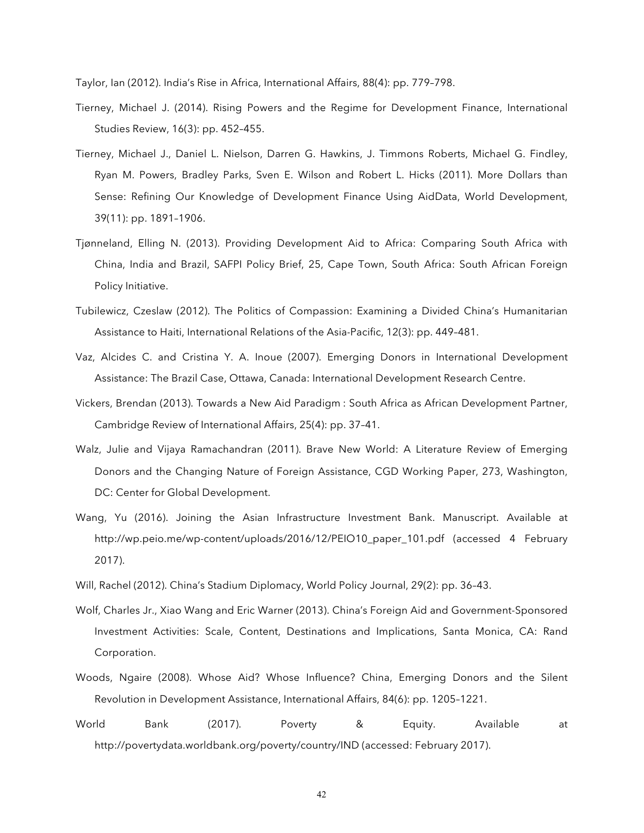Taylor, Ian (2012). India's Rise in Africa, International Affairs, 88(4): pp. 779–798.

- Tierney, Michael J. (2014). Rising Powers and the Regime for Development Finance, International Studies Review, 16(3): pp. 452–455.
- Tierney, Michael J., Daniel L. Nielson, Darren G. Hawkins, J. Timmons Roberts, Michael G. Findley, Ryan M. Powers, Bradley Parks, Sven E. Wilson and Robert L. Hicks (2011). More Dollars than Sense: Refining Our Knowledge of Development Finance Using AidData, World Development, 39(11): pp. 1891–1906.
- Tjønneland, Elling N. (2013). Providing Development Aid to Africa: Comparing South Africa with China, India and Brazil, SAFPI Policy Brief, 25, Cape Town, South Africa: South African Foreign Policy Initiative.
- Tubilewicz, Czeslaw (2012). The Politics of Compassion: Examining a Divided China's Humanitarian Assistance to Haiti, International Relations of the Asia-Pacific, 12(3): pp. 449–481.
- Vaz, Alcides C. and Cristina Y. A. Inoue (2007). Emerging Donors in International Development Assistance: The Brazil Case, Ottawa, Canada: International Development Research Centre.
- Vickers, Brendan (2013). Towards a New Aid Paradigm : South Africa as African Development Partner, Cambridge Review of International Affairs, 25(4): pp. 37–41.
- Walz, Julie and Vijaya Ramachandran (2011). Brave New World: A Literature Review of Emerging Donors and the Changing Nature of Foreign Assistance, CGD Working Paper, 273, Washington, DC: Center for Global Development.
- Wang, Yu (2016). Joining the Asian Infrastructure Investment Bank. Manuscript. Available at http://wp.peio.me/wp-content/uploads/2016/12/PEIO10\_paper\_101.pdf (accessed 4 February 2017).
- Will, Rachel (2012). China's Stadium Diplomacy, World Policy Journal, 29(2): pp. 36–43.
- Wolf, Charles Jr., Xiao Wang and Eric Warner (2013). China's Foreign Aid and Government-Sponsored Investment Activities: Scale, Content, Destinations and Implications, Santa Monica, CA: Rand Corporation.
- Woods, Ngaire (2008). Whose Aid? Whose Influence? China, Emerging Donors and the Silent Revolution in Development Assistance, International Affairs, 84(6): pp. 1205–1221.
- World Bank (2017). Poverty & Equity. Available at http://povertydata.worldbank.org/poverty/country/IND (accessed: February 2017).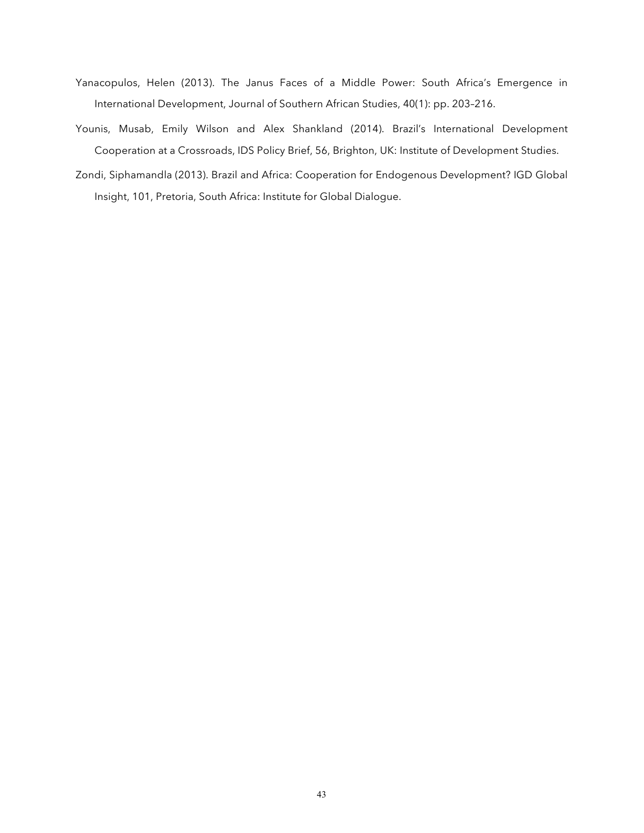- Yanacopulos, Helen (2013). The Janus Faces of a Middle Power: South Africa's Emergence in International Development, Journal of Southern African Studies, 40(1): pp. 203–216.
- Younis, Musab, Emily Wilson and Alex Shankland (2014). Brazil's International Development Cooperation at a Crossroads, IDS Policy Brief, 56, Brighton, UK: Institute of Development Studies.
- Zondi, Siphamandla (2013). Brazil and Africa: Cooperation for Endogenous Development? IGD Global Insight, 101, Pretoria, South Africa: Institute for Global Dialogue.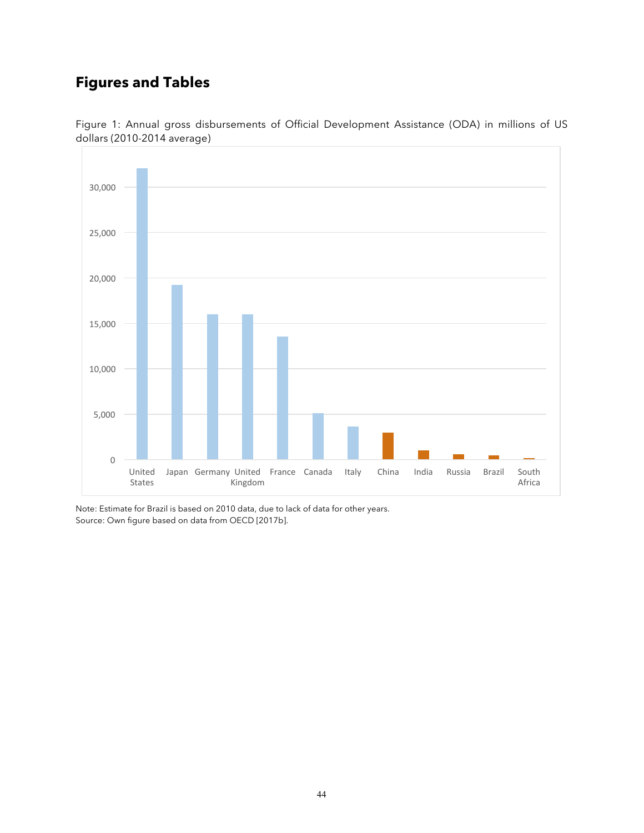## **Figures and Tables**



Figure 1: Annual gross disbursements of Official Development Assistance (ODA) in millions of US dollars (2010-2014 average)

Note: Estimate for Brazil is based on 2010 data, due to lack of data for other years. Source: Own figure based on data from OECD [2017b].